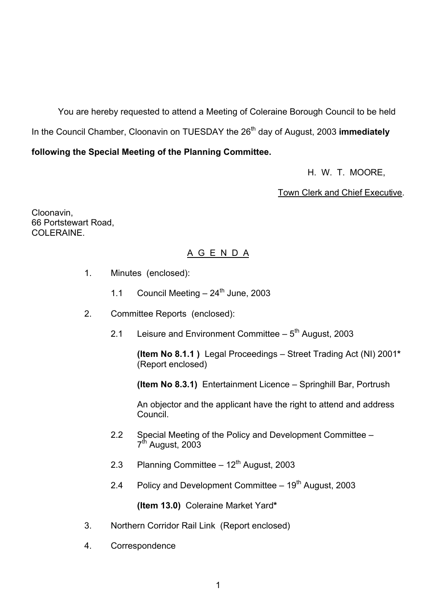You are hereby requested to attend a Meeting of Coleraine Borough Council to be held In the Council Chamber, Cloonavin on TUESDAY the 26<sup>th</sup> day of August, 2003 **immediately** 

# **following the Special Meeting of the Planning Committee.**

H. W. T. MOORE,

Town Clerk and Chief Executive.

Cloonavin, 66 Portstewart Road, COLERAINE

# A G E N D A

- 1. Minutes (enclosed):
	- 1.1 Council Meeting  $-24^{\text{th}}$  June, 2003
- 2. Committee Reports (enclosed):
	- 2.1 Leisure and Environment Committee  $-5<sup>th</sup>$  August, 2003

**(Item No 8.1.1)** Legal Proceedings – Street Trading Act (NI) 2001\* (Report enclosed)

**(Item No 8.3.1)** Entertainment Licence – Springhill Bar, Portrush

An objector and the applicant have the right to attend and address Council.

- 2.2 Special Meeting of the Policy and Development Committee 7<sup>th</sup> August, 2003
- 2.3 Planning Committee  $-12<sup>th</sup>$  August, 2003
- 2.4 Policy and Development Committee  $-19<sup>th</sup>$  August, 2003

**(Item 13.0)** Coleraine Market Yard**\***

- 3. Northern Corridor Rail Link (Report enclosed)
- 4. Correspondence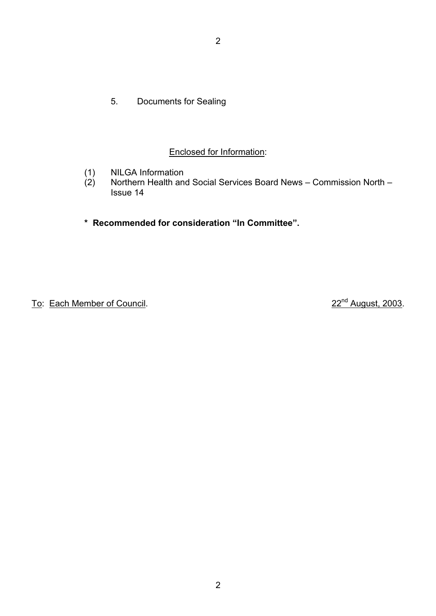5. Documents for Sealing

# Enclosed for Information:

- (1) NILGA Information<br>(2) Northern Health and
- Northern Health and Social Services Board News Commission North Issue 14

# \* Recommended for consideration "In Committee".

To: Each Member of Council. 22nd August, 2003.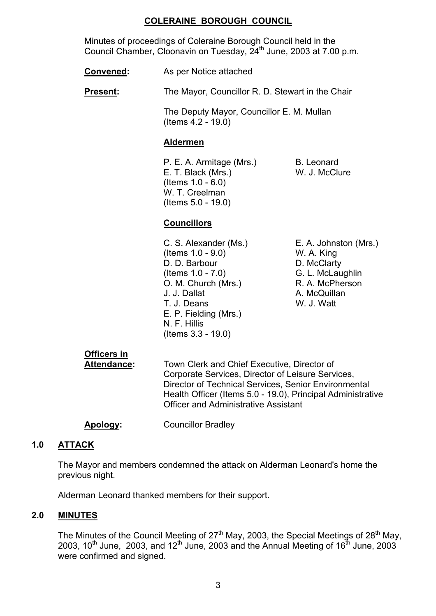# **COLERAINE BOROUGH COUNCIL**

Minutes of proceedings of Coleraine Borough Council held in the Council Chamber, Cloonavin on Tuesday,  $24<sup>th</sup>$  June, 2003 at 7.00 p.m.

**Convened:** As per Notice attached

**Present:** The Mayor, Councillor R. D. Stewart in the Chair

 The Deputy Mayor, Councillor E. M. Mullan (Items 4.2 - 19.0)

# **Aldermen**

P. E. A. Armitage (Mrs.) B. Leonard E. T. Black (Mrs.) W. J. McClure (Items 1.0 - 6.0) W. T. Creelman (Items 5.0 - 19.0)

# **Councillors**

 C. S. Alexander (Ms.) E. A. Johnston (Mrs.) (Items 1.0 - 9.0) W. A. King D. D. Barbour D. McClarty (Items 1.0 - 7.0) G. L. McLaughlin O. M. Church (Mrs.) R. A. McPherson J. J. Dallat A. McQuillan T. J. Deans W. J. Watt E. P. Fielding (Mrs.) N. F. Hillis (Items 3.3 - 19.0)

# **Officers in**

 **Attendance:** Town Clerk and Chief Executive, Director of Corporate Services, Director of Leisure Services, Director of Technical Services, Senior Environmental Health Officer (Items 5.0 - 19.0), Principal Administrative Officer and Administrative Assistant

# **Apology:** Councillor Bradley

# **1.0 ATTACK**

 The Mayor and members condemned the attack on Alderman Leonard's home the previous night.

Alderman Leonard thanked members for their support.

# **2.0 MINUTES**

The Minutes of the Council Meeting of  $27<sup>th</sup>$  May, 2003, the Special Meetings of  $28<sup>th</sup>$  May, 2003, 10<sup>th</sup> June, 2003, and 12<sup>th</sup> June, 2003 and the Annual Meeting of 16<sup>th</sup> June, 2003 were confirmed and signed.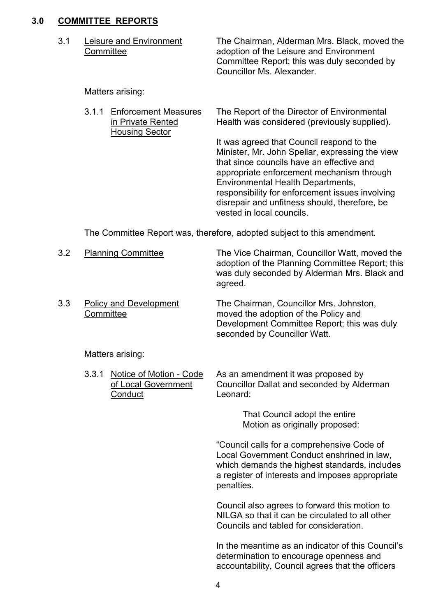# **3.0 COMMITTEE REPORTS**

 3.1 Leisure and Environment The Chairman, Alderman Mrs. Black, moved the Committeeadoption of the Leisure and Environment Committee Report; this was duly seconded by Councillor Ms. Alexander.

Matters arising:

 3.1.1 Enforcement Measures The Report of the Director of Environmental in Private Rented Health was considered (previously supplied). Housing Sector It was agreed that Council respond to the Minister, Mr. John Spellar, expressing the view

vested in local councils. The Committee Report was, therefore, adopted subject to this amendment.

|  | 3.2 | <b>Planning Committee</b> | The Vice Chairman, Councillor Watt, moved the<br>adoption of the Planning Committee Report; this<br>was duly seconded by Alderman Mrs. Black and<br>agreed. |
|--|-----|---------------------------|-------------------------------------------------------------------------------------------------------------------------------------------------------------|
|--|-----|---------------------------|-------------------------------------------------------------------------------------------------------------------------------------------------------------|

 3.3 Policy and Development The Chairman, Councillor Mrs. Johnston, Committee moved the adoption of the Policy and Development Committee Report; this was duly seconded by Councillor Watt.

Matters arising:

3.3.1 Notice of Motion - Code As an amendment it was proposed by of Local Government Councillor Dallat and seconded by Alderman Conduct Leonard:

> That Council adopt the entire Motion as originally proposed:

that since councils have an effective and appropriate enforcement mechanism through

responsibility for enforcement issues involving disrepair and unfitness should, therefore, be

Environmental Health Departments,

ìCouncil calls for a comprehensive Code of Local Government Conduct enshrined in law, which demands the highest standards, includes a register of interests and imposes appropriate penalties.

Council also agrees to forward this motion to NILGA so that it can be circulated to all other Councils and tabled for consideration.

In the meantime as an indicator of this Council's determination to encourage openness and accountability, Council agrees that the officers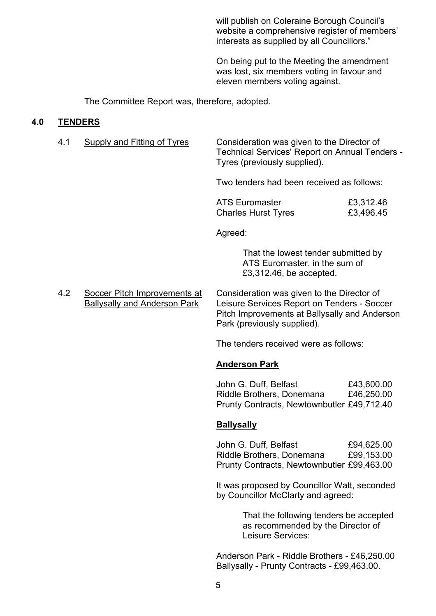will publish on Coleraine Borough Council's website a comprehensive register of members' interests as supplied by all Councillors."

 On being put to the Meeting the amendment was lost, six members voting in favour and eleven members voting against.

The Committee Report was, therefore, adopted.

#### **4.0 TENDERS**

| Supply and Fitting of Tyres | Consideration was given to the Director of     |
|-----------------------------|------------------------------------------------|
|                             | Technical Services' Report on Annual Tenders - |
|                             | Tyres (previously supplied).                   |

Two tenders had been received as follows:

| <b>ATS Euromaster</b>      | £3,312.46 |
|----------------------------|-----------|
| <b>Charles Hurst Tyres</b> | £3,496.45 |

Agreed:

 That the lowest tender submitted by ATS Euromaster, in the sum of £3,312.46, be accepted.

 4.2 Soccer Pitch Improvements at Consideration was given to the Director of Ballysally and Anderson Park Leisure Services Report on Tenders - Soccer Pitch Improvements at Ballysally and Anderson Park (previously supplied).

The tenders received were as follows:

#### **Anderson Park**

John G. Duff, Belfast E43,600.00 Riddle Brothers, Donemana £46,250.00 Prunty Contracts, Newtownbutler £49,712.40

#### **Ballysally**

John G. Duff, Belfast E94,625.00 Riddle Brothers, Donemana £99,153.00 Prunty Contracts, Newtownbutler £99,463.00

 It was proposed by Councillor Watt, seconded by Councillor McClarty and agreed:

> That the following tenders be accepted as recommended by the Director of Leisure Services:

 Anderson Park - Riddle Brothers - £46,250.00 Ballysally - Prunty Contracts - £99,463.00.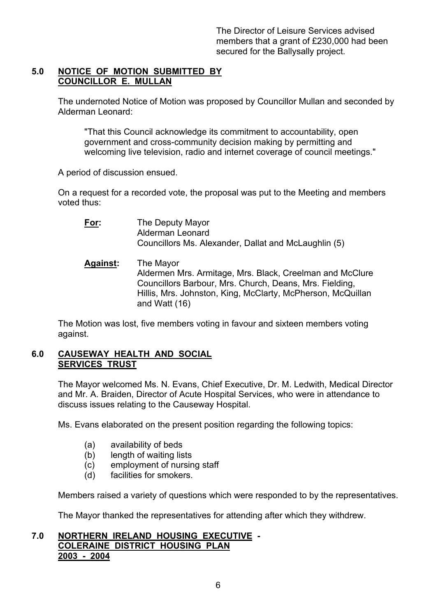# **5.0 NOTICE OF MOTION SUBMITTED BY COUNCILLOR E. MULLAN**

 The undernoted Notice of Motion was proposed by Councillor Mullan and seconded by Alderman Leonard:

 "That this Council acknowledge its commitment to accountability, open government and cross-community decision making by permitting and welcoming live television, radio and internet coverage of council meetings."

A period of discussion ensued.

 On a request for a recorded vote, the proposal was put to the Meeting and members voted thus:

 **For:** The Deputy Mayor Alderman Leonard Councillors Ms. Alexander, Dallat and McLaughlin (5) **Against:** The Mayor

 Aldermen Mrs. Armitage, Mrs. Black, Creelman and McClure Councillors Barbour, Mrs. Church, Deans, Mrs. Fielding, Hillis, Mrs. Johnston, King, McClarty, McPherson, McQuillan and Watt (16)

 The Motion was lost, five members voting in favour and sixteen members voting against.

# **6.0 CAUSEWAY HEALTH AND SOCIAL SERVICES TRUST**

 The Mayor welcomed Ms. N. Evans, Chief Executive, Dr. M. Ledwith, Medical Director and Mr. A. Braiden, Director of Acute Hospital Services, who were in attendance to discuss issues relating to the Causeway Hospital.

Ms. Evans elaborated on the present position regarding the following topics:

- (a) availability of beds
- (b) length of waiting lists
- (c) employment of nursing staff
- (d) facilities for smokers.

Members raised a variety of questions which were responded to by the representatives.

The Mayor thanked the representatives for attending after which they withdrew.

# **7.0 NORTHERN IRELAND HOUSING EXECUTIVE - COLERAINE DISTRICT HOUSING PLAN 2003 - 2004**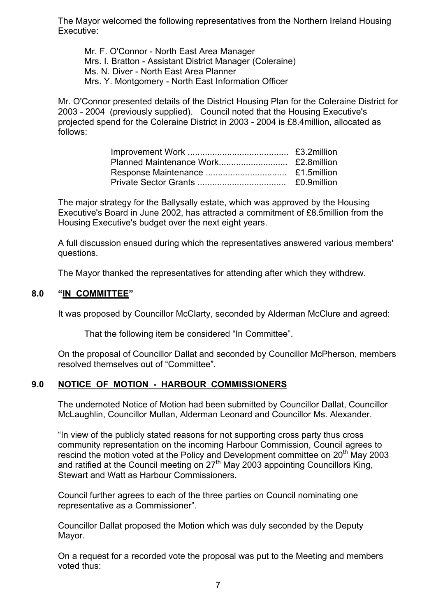The Mayor welcomed the following representatives from the Northern Ireland Housing Executive:

 Mr. F. O'Connor - North East Area Manager Mrs. I. Bratton - Assistant District Manager (Coleraine) Ms. N. Diver - North East Area Planner Mrs. Y. Montgomery - North East Information Officer

 Mr. O'Connor presented details of the District Housing Plan for the Coleraine District for 2003 - 2004 (previously supplied). Council noted that the Housing Executive's projected spend for the Coleraine District in 2003 - 2004 is £8.4million, allocated as follows:

 The major strategy for the Ballysally estate, which was approved by the Housing Executive's Board in June 2002, has attracted a commitment of £8.5million from the Housing Executive's budget over the next eight years.

 A full discussion ensued during which the representatives answered various members' questions.

The Mayor thanked the representatives for attending after which they withdrew.

#### 8.0 **"IN COMMITTEE"**

It was proposed by Councillor McClarty, seconded by Alderman McClure and agreed:

That the following item be considered "In Committee".

 On the proposal of Councillor Dallat and seconded by Councillor McPherson, members resolved themselves out of "Committee".

# **9.0 NOTICE OF MOTION - HARBOUR COMMISSIONERS**

 The undernoted Notice of Motion had been submitted by Councillor Dallat, Councillor McLaughlin, Councillor Mullan, Alderman Leonard and Councillor Ms. Alexander.

"In view of the publicly stated reasons for not supporting cross party thus cross community representation on the incoming Harbour Commission, Council agrees to rescind the motion voted at the Policy and Development committee on 20<sup>th</sup> May 2003 and ratified at the Council meeting on  $27<sup>th</sup>$  May 2003 appointing Councillors King, Stewart and Watt as Harbour Commissioners.

Council further agrees to each of the three parties on Council nominating one representative as a Commissioner".

 Councillor Dallat proposed the Motion which was duly seconded by the Deputy Mayor.

 On a request for a recorded vote the proposal was put to the Meeting and members voted thus: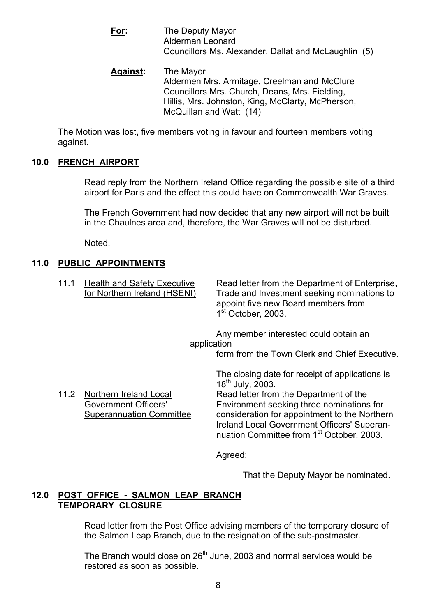- **For:** The Deputy Mayor Alderman Leonard Councillors Ms. Alexander, Dallat and McLaughlin (5)
- **Against:** The Mayor Aldermen Mrs. Armitage, Creelman and McClure Councillors Mrs. Church, Deans, Mrs. Fielding, Hillis, Mrs. Johnston, King, McClarty, McPherson, McQuillan and Watt (14)

 The Motion was lost, five members voting in favour and fourteen members voting against.

# **10.0 FRENCH AIRPORT**

 Read reply from the Northern Ireland Office regarding the possible site of a third airport for Paris and the effect this could have on Commonwealth War Graves.

 The French Government had now decided that any new airport will not be built in the Chaulnes area and, therefore, the War Graves will not be disturbed.

Noted.

# **11.0 PUBLIC APPOINTMENTS**

| 11.1 | <b>Health and Safety Executive</b><br>for Northern Ireland (HSENI)                       | Read letter from the Department of Enterprise,<br>Trade and Investment seeking nominations to<br>appoint five new Board members from<br>1 <sup>st</sup> October, 2003.                                                                                                                                                          |
|------|------------------------------------------------------------------------------------------|---------------------------------------------------------------------------------------------------------------------------------------------------------------------------------------------------------------------------------------------------------------------------------------------------------------------------------|
|      | application                                                                              | Any member interested could obtain an                                                                                                                                                                                                                                                                                           |
|      |                                                                                          | form from the Town Clerk and Chief Executive.                                                                                                                                                                                                                                                                                   |
| 11.2 | Northern Ireland Local<br><b>Government Officers'</b><br><b>Superannuation Committee</b> | The closing date for receipt of applications is<br>18 <sup>th</sup> July, 2003.<br>Read letter from the Department of the<br>Environment seeking three nominations for<br>consideration for appointment to the Northern<br>Ireland Local Government Officers' Superan-<br>nuation Committee from 1 <sup>st</sup> October, 2003. |
|      |                                                                                          | Agreed:                                                                                                                                                                                                                                                                                                                         |

That the Deputy Mayor be nominated.

# **12.0 POST OFFICE - SALMON LEAP BRANCH TEMPORARY CLOSURE**

 Read letter from the Post Office advising members of the temporary closure of the Salmon Leap Branch, due to the resignation of the sub-postmaster.

The Branch would close on  $26<sup>th</sup>$  June, 2003 and normal services would be restored as soon as possible.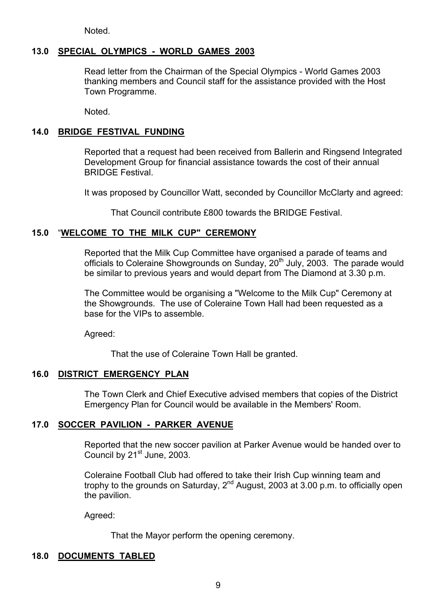Noted.

# **13.0 SPECIAL OLYMPICS - WORLD GAMES 2003**

Read letter from the Chairman of the Special Olympics - World Games 2003 thanking members and Council staff for the assistance provided with the Host Town Programme.

Noted.

#### **14.0 BRIDGE FESTIVAL FUNDING**

 Reported that a request had been received from Ballerin and Ringsend Integrated Development Group for financial assistance towards the cost of their annual BRIDGE Festival.

It was proposed by Councillor Watt, seconded by Councillor McClarty and agreed:

That Council contribute £800 towards the BRIDGE Festival.

# **15.0** ì**WELCOME TO THE MILK CUP" CEREMONY**

Reported that the Milk Cup Committee have organised a parade of teams and officials to Coleraine Showgrounds on Sunday, 20<sup>th</sup> July, 2003. The parade would be similar to previous years and would depart from The Diamond at 3.30 p.m.

The Committee would be organising a "Welcome to the Milk Cup" Ceremony at the Showgrounds. The use of Coleraine Town Hall had been requested as a base for the VIPs to assemble.

Agreed:

That the use of Coleraine Town Hall be granted.

#### **16.0 DISTRICT EMERGENCY PLAN**

 The Town Clerk and Chief Executive advised members that copies of the District Emergency Plan for Council would be available in the Members' Room.

#### **17.0 SOCCER PAVILION - PARKER AVENUE**

 Reported that the new soccer pavilion at Parker Avenue would be handed over to Council by 21<sup>st</sup> June, 2003.

Coleraine Football Club had offered to take their Irish Cup winning team and trophy to the grounds on Saturday,  $2^{nd}$  August, 2003 at  $3.00$  p.m. to officially open the pavilion.

Agreed:

That the Mayor perform the opening ceremony.

#### **18.0 DOCUMENTS TABLED**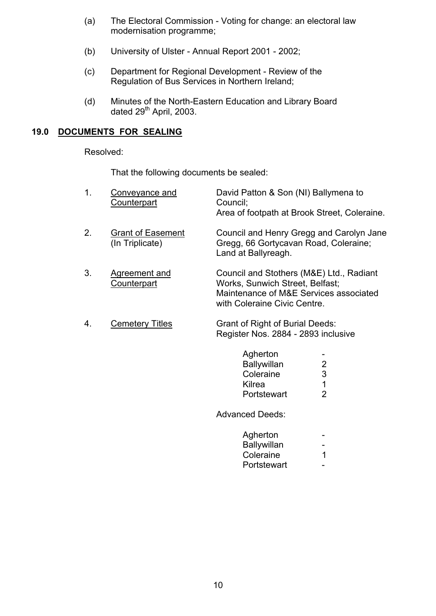- (a) The Electoral Commission Voting for change: an electoral law modernisation programme;
- (b) University of Ulster Annual Report 2001 2002;
- (c) Department for Regional Development Review of the Regulation of Bus Services in Northern Ireland;
- (d) Minutes of the North-Eastern Education and Library Board  $\frac{1}{2}$  dated 29<sup>th</sup> April, 2003.

#### **19.0 DOCUMENTS FOR SEALING**

Resolved:

That the following documents be sealed:

| 1. | Conveyance and<br><b>Counterpart</b>        | David Patton & Son (NI) Ballymena to<br>Council;<br>Area of footpath at Brook Street, Coleraine.                                                      |                                            |
|----|---------------------------------------------|-------------------------------------------------------------------------------------------------------------------------------------------------------|--------------------------------------------|
| 2. | <b>Grant of Easement</b><br>(In Triplicate) | Council and Henry Gregg and Carolyn Jane<br>Gregg, 66 Gortycavan Road, Coleraine;<br>Land at Ballyreagh.                                              |                                            |
| 3. | Agreement and<br>Counterpart                | Council and Stothers (M&E) Ltd., Radiant<br>Works, Sunwich Street, Belfast;<br>Maintenance of M&E Services associated<br>with Coleraine Civic Centre. |                                            |
| 4. | <b>Cemetery Titles</b>                      | Grant of Right of Burial Deeds:<br>Register Nos. 2884 - 2893 inclusive<br>Agherton                                                                    |                                            |
|    |                                             | <b>Ballywillan</b><br>Coleraine<br>Kilrea<br>Portstewart                                                                                              | $\overline{2}$<br>3<br>1<br>$\overline{2}$ |

Advanced Deeds:

| Agherton    | $\sim$           |
|-------------|------------------|
| Ballywillan | $\sim$           |
| Coleraine   | $\mathbf 1$      |
| Portstewart | $\sim$ 100 $\mu$ |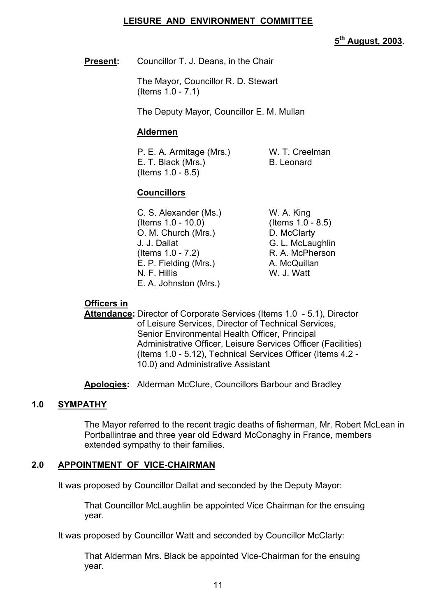#### **LEISURE AND ENVIRONMENT COMMITTEE**

**5th August, 2003.** 

**Present:** Councillor T. J. Deans, in the Chair

 The Mayor, Councillor R. D. Stewart (Items 1.0 - 7.1)

The Deputy Mayor, Councillor E. M. Mullan

#### **Aldermen**

 P. E. A. Armitage (Mrs.) W. T. Creelman E. T. Black (Mrs.) B. Leonard (Items 1.0 - 8.5)

# **Councillors**

C. S. Alexander (Ms.) W. A. King (Items 1.0 - 10.0) (Items 1.0 - 8.5) O. M. Church (Mrs.) D. McClarty J. J. Dallat G. L. McLaughlin  $($ ltems  $1.0 - 7.2)$  R. A. McPherson E. P. Fielding (Mrs.) A. McQuillan N. F. Hillis W. J. Watt E. A. Johnston (Mrs.)

# **Officers in**

 **Attendance:** Director of Corporate Services (Items 1.0 - 5.1), Director of Leisure Services, Director of Technical Services, Senior Environmental Health Officer, Principal Administrative Officer, Leisure Services Officer (Facilities) (Items 1.0 - 5.12), Technical Services Officer (Items 4.2 - 10.0) and Administrative Assistant

**Apologies:** Alderman McClure, Councillors Barbour and Bradley

# **1.0 SYMPATHY**

 The Mayor referred to the recent tragic deaths of fisherman, Mr. Robert McLean in Portballintrae and three year old Edward McConaghy in France, members extended sympathy to their families.

#### **2.0 APPOINTMENT OF VICE-CHAIRMAN**

It was proposed by Councillor Dallat and seconded by the Deputy Mayor:

 That Councillor McLaughlin be appointed Vice Chairman for the ensuing year.

It was proposed by Councillor Watt and seconded by Councillor McClarty:

 That Alderman Mrs. Black be appointed Vice-Chairman for the ensuing year.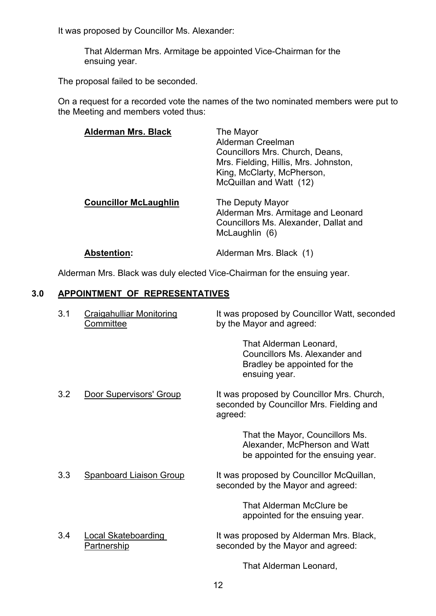It was proposed by Councillor Ms. Alexander:

 That Alderman Mrs. Armitage be appointed Vice-Chairman for the ensuing year.

The proposal failed to be seconded.

 On a request for a recorded vote the names of the two nominated members were put to the Meeting and members voted thus:

| <b>Alderman Mrs. Black</b>   | The Mayor<br>Alderman Creelman<br>Councillors Mrs. Church, Deans,<br>Mrs. Fielding, Hillis, Mrs. Johnston,<br>King, McClarty, McPherson,<br>McQuillan and Watt (12) |
|------------------------------|---------------------------------------------------------------------------------------------------------------------------------------------------------------------|
| <b>Councillor McLaughlin</b> | The Deputy Mayor<br>Alderman Mrs. Armitage and Leonard<br>Councillors Ms. Alexander, Dallat and<br>McLaughlin (6)                                                   |
| <b>Abstention:</b>           | Alderman Mrs. Black (1)                                                                                                                                             |

Alderman Mrs. Black was duly elected Vice-Chairman for the ensuing year.

# **3.0 APPOINTMENT OF REPRESENTATIVES**

| 3.1 | <b>Craigahulliar Monitoring</b><br><u>Committee</u> | It was proposed by Councillor Watt, seconded<br>by the Mayor and agreed:                                 |
|-----|-----------------------------------------------------|----------------------------------------------------------------------------------------------------------|
|     |                                                     | That Alderman Leonard,<br>Councillors Ms. Alexander and<br>Bradley be appointed for the<br>ensuing year. |
| 3.2 | Door Supervisors' Group                             | It was proposed by Councillor Mrs. Church,<br>seconded by Councillor Mrs. Fielding and<br>agreed:        |
|     |                                                     | That the Mayor, Councillors Ms.<br>Alexander, McPherson and Watt<br>be appointed for the ensuing year.   |
| 3.3 | <b>Spanboard Liaison Group</b>                      | It was proposed by Councillor McQuillan,<br>seconded by the Mayor and agreed:                            |
|     |                                                     | That Alderman McClure be<br>appointed for the ensuing year.                                              |
| 3.4 | <b>Local Skateboarding</b><br><b>Partnership</b>    | It was proposed by Alderman Mrs. Black,<br>seconded by the Mayor and agreed:                             |
|     |                                                     | That Alderman Leonard,                                                                                   |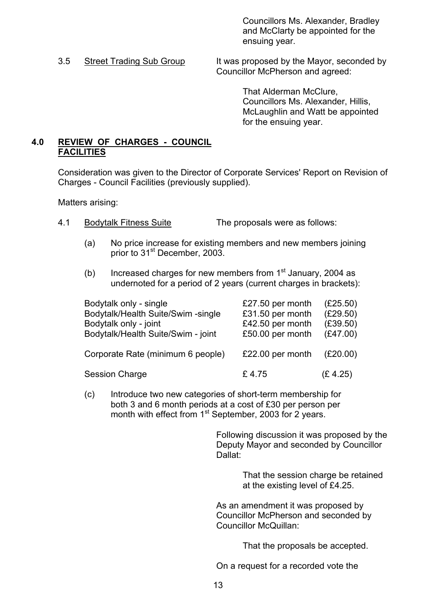Councillors Ms. Alexander, Bradley and McClarty be appointed for the ensuing year.

3.5 Street Trading Sub Group It was proposed by the Mayor, seconded by Councillor McPherson and agreed:

> That Alderman McClure, Councillors Ms. Alexander, Hillis, McLaughlin and Watt be appointed for the ensuing year.

# **4.0 REVIEW OF CHARGES - COUNCIL FACILITIES**

 Consideration was given to the Director of Corporate Services' Report on Revision of Charges - Council Facilities (previously supplied).

Matters arising:

- 4.1 Bodytalk Fitness Suite The proposals were as follows:
	- (a) No price increase for existing members and new members joining prior to 31<sup>st</sup> December, 2003.
	- (b) Increased charges for new members from  $1<sup>st</sup>$  January, 2004 as undernoted for a period of 2 years (current charges in brackets):

| Bodytalk only - single             | £27.50 per month | (E25.50) |
|------------------------------------|------------------|----------|
| Bodytalk/Health Suite/Swim -single | £31.50 per month | (E29.50) |
| Bodytalk only - joint              | £42.50 per month | (E39.50) |
| Bodytalk/Health Suite/Swim - joint | £50.00 per month | (E47.00) |
| Corporate Rate (minimum 6 people)  | £22.00 per month | (E20.00) |
| <b>Session Charge</b>              | £4.75            | (E 4.25) |

 (c) Introduce two new categories of short-term membership for both 3 and 6 month periods at a cost of £30 per person per month with effect from 1<sup>st</sup> September, 2003 for 2 years.

 Following discussion it was proposed by the Deputy Mayor and seconded by Councillor Dallat:

> That the session charge be retained at the existing level of £4.25.

 As an amendment it was proposed by Councillor McPherson and seconded by Councillor McQuillan:

That the proposals be accepted.

On a request for a recorded vote the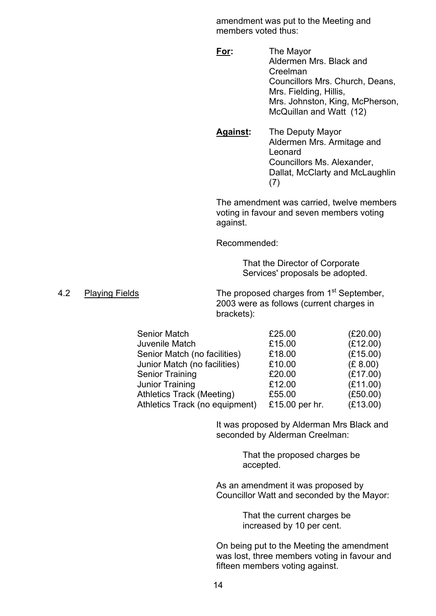amendment was put to the Meeting and members voted thus:

- **For:** The Mayor Aldermen Mrs. Black and Creelman Councillors Mrs. Church, Deans, Mrs. Fielding, Hillis, Mrs. Johnston, King, McPherson, McQuillan and Watt (12)
- **Against:** The Deputy Mayor Aldermen Mrs. Armitage and Leonard Councillors Ms. Alexander, Dallat, McClarty and McLaughlin (7)

The amendment was carried, twelve members voting in favour and seven members voting against.

Recommended:

 That the Director of Corporate Services' proposals be adopted.

4.2 Playing Fields The proposed charges from 1<sup>st</sup> September, 2003 were as follows (current charges in brackets):

| <b>Senior Match</b>              | £25.00         | (E20.00) |
|----------------------------------|----------------|----------|
| Juvenile Match                   | £15.00         | (E12.00) |
| Senior Match (no facilities)     | £18.00         | (E15.00) |
| Junior Match (no facilities)     | £10.00         | (E 8.00) |
| <b>Senior Training</b>           | £20.00         | (E17.00) |
| Junior Training                  | £12.00         | (E11.00) |
| <b>Athletics Track (Meeting)</b> | £55.00         | (E50.00) |
| Athletics Track (no equipment)   | £15.00 per hr. | (E13.00) |

 It was proposed by Alderman Mrs Black and seconded by Alderman Creelman:

> That the proposed charges be accepted.

As an amendment it was proposed by Councillor Watt and seconded by the Mayor:

> That the current charges be increased by 10 per cent.

On being put to the Meeting the amendment was lost, three members voting in favour and fifteen members voting against.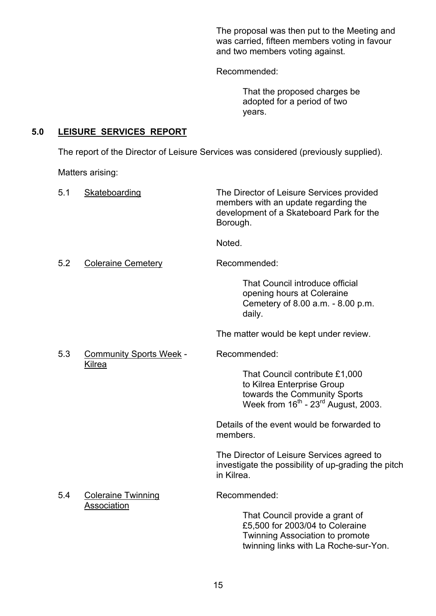The proposal was then put to the Meeting and was carried, fifteen members voting in favour and two members voting against.

Recommended:

 That the proposed charges be adopted for a period of two years.

# **5.0 LEISURE SERVICES REPORT**

The report of the Director of Leisure Services was considered (previously supplied).

Matters arising:

| 5.1 | Skateboarding                  | The Director of Leisure Services provided<br>members with an update regarding the<br>development of a Skateboard Park for the<br>Borough.                   |
|-----|--------------------------------|-------------------------------------------------------------------------------------------------------------------------------------------------------------|
|     |                                | Noted.                                                                                                                                                      |
| 5.2 | <b>Coleraine Cemetery</b>      | Recommended:                                                                                                                                                |
|     |                                | That Council introduce official<br>opening hours at Coleraine<br>Cemetery of 8.00 a.m. - 8.00 p.m.<br>daily.                                                |
|     |                                | The matter would be kept under review.                                                                                                                      |
| 5.3 | <b>Community Sports Week -</b> | Recommended:                                                                                                                                                |
|     | Kilrea                         | That Council contribute £1,000<br>to Kilrea Enterprise Group<br>towards the Community Sports<br>Week from 16 <sup>th</sup> - 23 <sup>rd</sup> August, 2003. |
|     |                                | Details of the event would be forwarded to<br>members.                                                                                                      |
|     |                                | The Director of Leisure Services agreed to<br>investigate the possibility of up-grading the pitch<br>in Kilrea.                                             |
| 5.4 | <b>Coleraine Twinning</b>      | Recommended:                                                                                                                                                |
|     | Association                    | That Council provide a grant of<br>£5,500 for 2003/04 to Coleraine<br>Twinning Association to promote<br>twinning links with La Roche-sur-Yon.              |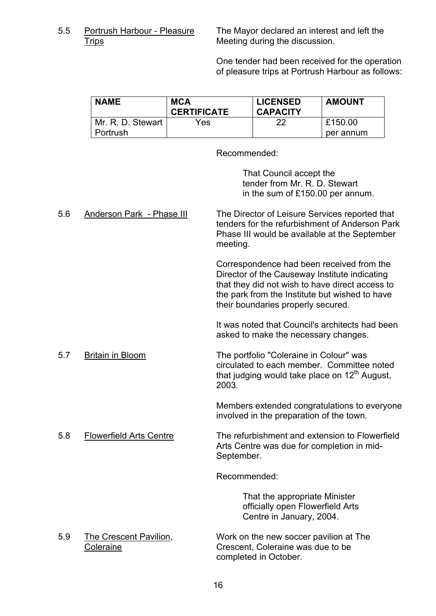5.5 Portrush Harbour - Pleasure The Mayor declared an interest and left the Trips Meeting during the discussion.

> One tender had been received for the operation of pleasure trips at Portrush Harbour as follows:

| <b>NAME</b>       | <b>MCA</b><br><b>CERTIFICATE</b> | <b>LICENSED</b><br><b>CAPACITY</b> | <b>AMOUNT</b> |
|-------------------|----------------------------------|------------------------------------|---------------|
| Mr. R. D. Stewart | Yes                              | 22                                 | £150.00       |
| Portrush          |                                  |                                    | per annum     |

Recommended:

 That Council accept the tender from Mr. R. D. Stewart in the sum of £150.00 per annum.

| 5.6 | Anderson Park - Phase III | The Director of Leisure Services reported that<br>tenders for the refurbishment of Anderson Park<br>Phase III would be available at the September<br>meeting.                                                                         |  |
|-----|---------------------------|---------------------------------------------------------------------------------------------------------------------------------------------------------------------------------------------------------------------------------------|--|
|     |                           | Correspondence had been received from the<br>Director of the Causeway Institute indicating<br>that they did not wish to have direct access to<br>the park from the Institute but wished to have<br>their boundaries properly secured. |  |
|     |                           | It was noted that Council's architects had been<br>asked to make the necessary changes.                                                                                                                                               |  |
| 5.7 | <b>Britain in Bloom</b>   | The portfolio "Coleraine in Colour" was<br>circulated to each member. Committee noted<br>that judging would take place on 12 <sup>th</sup> August,<br>2003.                                                                           |  |
|     |                           | Members extended congratulations to everyone<br>involved in the preparation of the town.                                                                                                                                              |  |
| 5.8 | Flowerfield Arts Centre   | The refurbishment and extension to Flowerfield<br>Arts Centre was due for completion in mid-<br>September.                                                                                                                            |  |
|     |                           | Recommended:                                                                                                                                                                                                                          |  |
|     |                           | That the appropriate Minister<br>officially open Flowerfield Arts<br>Centre in January, 2004.                                                                                                                                         |  |

 5.9 The Crescent Pavilion, Work on the new soccer pavilion at The Coleraine Crescent, Coleraine was due to be completed in October.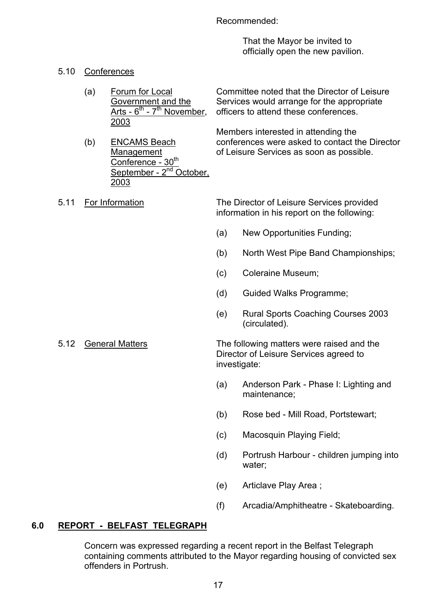Recommended:

 That the Mayor be invited to officially open the new pavilion.

- 5.10 Conferences
	- (a) Forum for Local Committee noted that the Director of Leisure Government and the Services would arrange for the appropriate Arts -  $6<sup>th</sup>$  -  $7<sup>th</sup>$  November, officers to attend these conferences. 2003

 Members interested in attending the (b) ENCAMS Beach conferences were asked to contact the Director Management of Leisure Services as soon as possible.

2003

Conference - 30<sup>th</sup>

September - 2<sup>nd</sup> October.

 5.11 For Information The Director of Leisure Services provided information in his report on the following:

- (a) New Opportunities Funding;
- (b) North West Pipe Band Championships;
- (c) Coleraine Museum;
- (d) Guided Walks Programme;
- (e) Rural Sports Coaching Courses 2003 (circulated).
- 

5.12 General Matters The following matters were raised and the Director of Leisure Services agreed to investigate:

- (a) Anderson Park Phase I: Lighting and maintenance;
- (b) Rose bed Mill Road, Portstewart;
- (c) Macosquin Playing Field;
- (d) Portrush Harbour children jumping into water;
	- (e) Articlave Play Area ;
	- (f) Arcadia/Amphitheatre Skateboarding.

# **6.0 REPORT - BELFAST TELEGRAPH**

 Concern was expressed regarding a recent report in the Belfast Telegraph containing comments attributed to the Mayor regarding housing of convicted sex offenders in Portrush.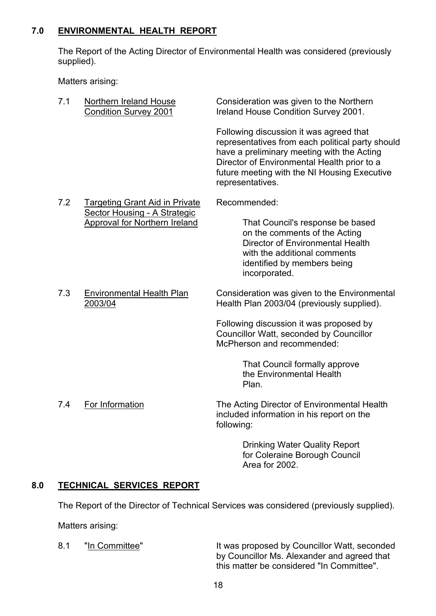# **7.0 ENVIRONMENTAL HEALTH REPORT**

 The Report of the Acting Director of Environmental Health was considered (previously supplied).

Matters arising:

| 7.1                                          | Northern Ireland House<br><b>Condition Survey 2001</b>               | Consideration was given to the Northern<br>Ireland House Condition Survey 2001.                                                                                                                                                                              |  |  |
|----------------------------------------------|----------------------------------------------------------------------|--------------------------------------------------------------------------------------------------------------------------------------------------------------------------------------------------------------------------------------------------------------|--|--|
|                                              |                                                                      | Following discussion it was agreed that<br>representatives from each political party should<br>have a preliminary meeting with the Acting<br>Director of Environmental Health prior to a<br>future meeting with the NI Housing Executive<br>representatives. |  |  |
| 7.2<br><b>Targeting Grant Aid in Private</b> |                                                                      | Recommended:                                                                                                                                                                                                                                                 |  |  |
|                                              | Sector Housing - A Strategic<br><b>Approval for Northern Ireland</b> | That Council's response be based<br>on the comments of the Acting<br>Director of Environmental Health<br>with the additional comments<br>identified by members being<br>incorporated.                                                                        |  |  |
| 7.3                                          | <b>Environmental Health Plan</b><br>2003/04                          | Consideration was given to the Environmental<br>Health Plan 2003/04 (previously supplied).                                                                                                                                                                   |  |  |
|                                              |                                                                      | Following discussion it was proposed by<br>Councillor Watt, seconded by Councillor<br>McPherson and recommended:                                                                                                                                             |  |  |
|                                              |                                                                      | That Council formally approve<br>the Environmental Health<br>Plan.                                                                                                                                                                                           |  |  |
|                                              |                                                                      |                                                                                                                                                                                                                                                              |  |  |

 7.4 For Information The Acting Director of Environmental Health included information in his report on the following:

> Drinking Water Quality Report for Coleraine Borough Council Area for 2002.

# **8.0 TECHNICAL SERVICES REPORT**

The Report of the Director of Technical Services was considered (previously supplied).

Matters arising:

8.1 "In Committee" It was proposed by Councillor Watt, seconded by Councillor Ms. Alexander and agreed that this matter be considered "In Committee".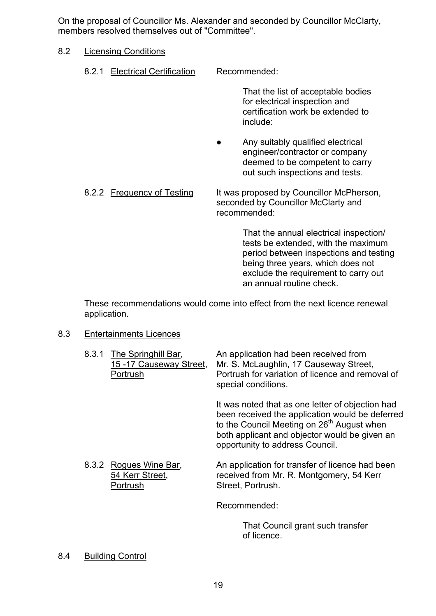On the proposal of Councillor Ms. Alexander and seconded by Councillor McClarty, members resolved themselves out of "Committee".

# 8.2 Licensing Conditions

8.2.1 Electrical Certification Recommended:

 That the list of acceptable bodies for electrical inspection and certification work be extended to include:

 ● Any suitably qualified electrical engineer/contractor or company deemed to be competent to carry out such inspections and tests.

8.2.2 Frequency of Testing It was proposed by Councillor McPherson, seconded by Councillor McClarty and recommended:

> That the annual electrical inspection/ tests be extended, with the maximum period between inspections and testing being three years, which does not exclude the requirement to carry out an annual routine check.

 These recommendations would come into effect from the next licence renewal application.

#### 8.3 Entertainments Licences

| 8.3.1 | The Springhill Bar,<br>15-17 Causeway Street,<br>Portrush | An application had been received from<br>Mr. S. McLaughlin, 17 Causeway Street,<br>Portrush for variation of licence and removal of<br>special conditions.                                                                                        |
|-------|-----------------------------------------------------------|---------------------------------------------------------------------------------------------------------------------------------------------------------------------------------------------------------------------------------------------------|
|       |                                                           | It was noted that as one letter of objection had<br>been received the application would be deferred<br>to the Council Meeting on 26 <sup>th</sup> August when<br>both applicant and objector would be given an<br>opportunity to address Council. |
|       | 8.3.2 Rogues Wine Bar,<br>54 Kerr Street,<br>Portrush     | An application for transfer of licence had been<br>received from Mr. R. Montgomery, 54 Kerr<br>Street, Portrush.                                                                                                                                  |
|       |                                                           | Recommended:                                                                                                                                                                                                                                      |
|       |                                                           | That Council grant such transfer<br>of licence.                                                                                                                                                                                                   |

8.4 Building Control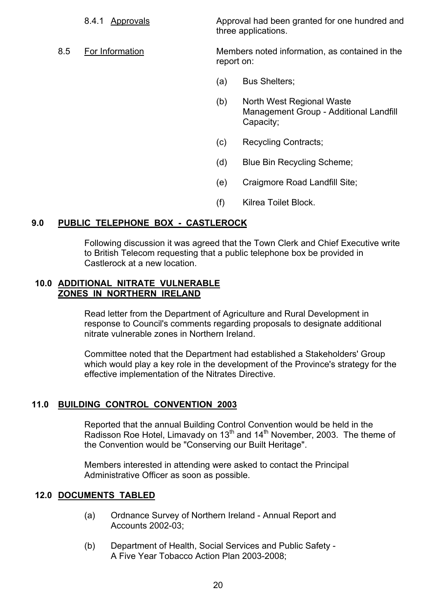8.4.1 Approvals Approval had been granted for one hundred and three applications.

- 8.5 For Information Members noted information, as contained in the report on:
	- (a) Bus Shelters;
	- (b) North West Regional Waste Management Group - Additional Landfill Capacity;
	- (c) Recycling Contracts;
	- (d) Blue Bin Recycling Scheme;
	- (e) Craigmore Road Landfill Site;
	- (f) Kilrea Toilet Block.

# **9.0 PUBLIC TELEPHONE BOX - CASTLEROCK**

 Following discussion it was agreed that the Town Clerk and Chief Executive write to British Telecom requesting that a public telephone box be provided in Castlerock at a new location.

# **10.0 ADDITIONAL NITRATE VULNERABLE ZONES IN NORTHERN IRELAND**

 Read letter from the Department of Agriculture and Rural Development in response to Council's comments regarding proposals to designate additional nitrate vulnerable zones in Northern Ireland.

Committee noted that the Department had established a Stakeholders' Group which would play a key role in the development of the Province's strategy for the effective implementation of the Nitrates Directive.

#### **11.0 BUILDING CONTROL CONVENTION 2003**

 Reported that the annual Building Control Convention would be held in the Radisson Roe Hotel, Limavady on 13<sup>th</sup> and 14<sup>th</sup> November, 2003. The theme of the Convention would be "Conserving our Built Heritage".

Members interested in attending were asked to contact the Principal Administrative Officer as soon as possible.

# **12.0 DOCUMENTS TABLED**

- (a) Ordnance Survey of Northern Ireland Annual Report and Accounts 2002-03;
- (b) Department of Health, Social Services and Public Safety A Five Year Tobacco Action Plan 2003-2008;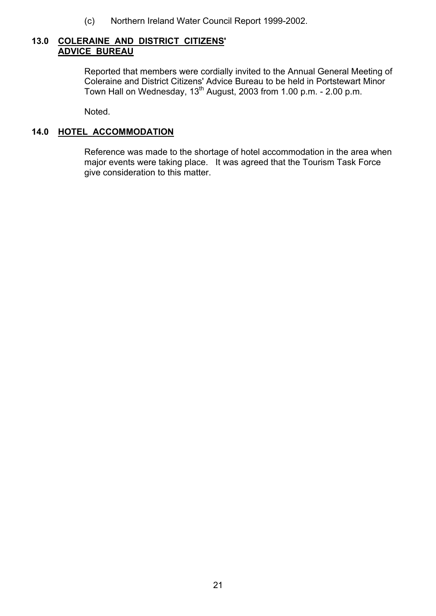(c) Northern Ireland Water Council Report 1999-2002.

# **13.0 COLERAINE AND DISTRICT CITIZENS' ADVICE BUREAU**

Reported that members were cordially invited to the Annual General Meeting of Coleraine and District Citizens' Advice Bureau to be held in Portstewart Minor Town Hall on Wednesday, 13<sup>th</sup> August, 2003 from 1.00 p.m. - 2.00 p.m.

Noted.

# **14.0 HOTEL ACCOMMODATION**

 Reference was made to the shortage of hotel accommodation in the area when major events were taking place. It was agreed that the Tourism Task Force give consideration to this matter.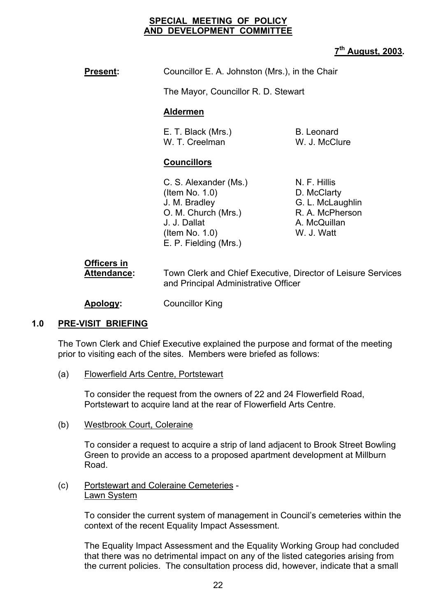#### **SPECIAL MEETING OF POLICY AND DEVELOPMENT COMMITTEE**

# **7th August, 2003.**

# **Present:** Councillor E. A. Johnston (Mrs.), in the Chair

The Mayor, Councillor R. D. Stewart

# **Aldermen**

E. T. Black (Mrs.) B. Leonard W. T. Creelman W. J. McClure

# **Councillors**

C. S. Alexander (Ms.) N. F. Hillis (Item No. 1.0) D. McClarty J. M. Bradley G. L. McLaughlin O. M. Church (Mrs.) R. A. McPherson J. J. Dallat A. McQuillan (Item No. 1.0) W. J. Watt E. P. Fielding (Mrs.)

# **Officers in**

 **Attendance:** Town Clerk and Chief Executive, Director of Leisure Services and Principal Administrative Officer

**Apology:** Councillor King

# **1.0 PRE-VISIT BRIEFING**

The Town Clerk and Chief Executive explained the purpose and format of the meeting prior to visiting each of the sites. Members were briefed as follows:

(a) Flowerfield Arts Centre, Portstewart

To consider the request from the owners of 22 and 24 Flowerfield Road, Portstewart to acquire land at the rear of Flowerfield Arts Centre.

(b) Westbrook Court, Coleraine

To consider a request to acquire a strip of land adjacent to Brook Street Bowling Green to provide an access to a proposed apartment development at Millburn Road.

#### (c) Portstewart and Coleraine Cemeteries - Lawn System

To consider the current system of management in Council's cemeteries within the context of the recent Equality Impact Assessment.

The Equality Impact Assessment and the Equality Working Group had concluded that there was no detrimental impact on any of the listed categories arising from the current policies. The consultation process did, however, indicate that a small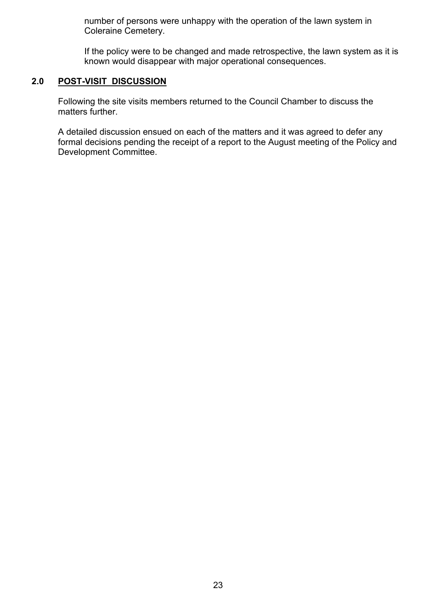number of persons were unhappy with the operation of the lawn system in Coleraine Cemetery.

If the policy were to be changed and made retrospective, the lawn system as it is known would disappear with major operational consequences.

# **2.0 POST-VISIT DISCUSSION**

Following the site visits members returned to the Council Chamber to discuss the matters further.

A detailed discussion ensued on each of the matters and it was agreed to defer any formal decisions pending the receipt of a report to the August meeting of the Policy and Development Committee.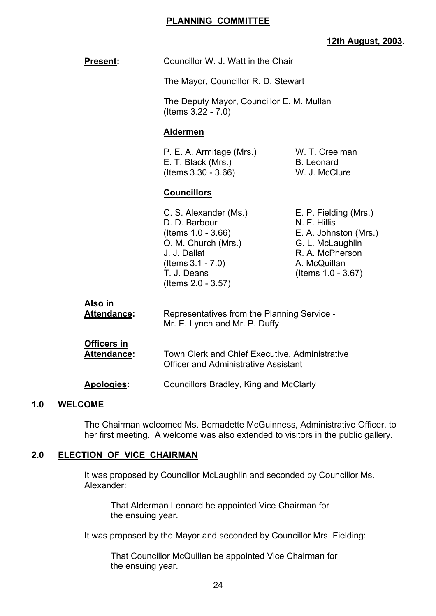#### **PLANNING COMMITTEE**

# **12th August, 2003.**

| <b>Present:</b>                      | Councillor W. J. Watt in the Chair                                                                                                                               |                                                                                                                                             |
|--------------------------------------|------------------------------------------------------------------------------------------------------------------------------------------------------------------|---------------------------------------------------------------------------------------------------------------------------------------------|
|                                      | The Mayor, Councillor R. D. Stewart                                                                                                                              |                                                                                                                                             |
|                                      | The Deputy Mayor, Councillor E. M. Mullan<br>(Items 3.22 - 7.0)                                                                                                  |                                                                                                                                             |
|                                      | <b>Aldermen</b>                                                                                                                                                  |                                                                                                                                             |
|                                      | P. E. A. Armitage (Mrs.)<br>W. T. Creelman<br>E. T. Black (Mrs.)<br><b>B.</b> Leonard<br>(Items 3.30 - 3.66)<br>W. J. McClure                                    |                                                                                                                                             |
|                                      | <b>Councillors</b>                                                                                                                                               |                                                                                                                                             |
|                                      | C. S. Alexander (Ms.)<br>D. D. Barbour<br>(Items 1.0 - 3.66)<br>O. M. Church (Mrs.)<br>J. J. Dallat<br>(Items $3.1 - 7.0$ )<br>T. J. Deans<br>(Items 2.0 - 3.57) | E. P. Fielding (Mrs.)<br>N. F. Hillis<br>E. A. Johnston (Mrs.)<br>G. L. McLaughlin<br>R. A. McPherson<br>A. McQuillan<br>(Items 1.0 - 3.67) |
| <u>Also in</u><br><b>Attendance:</b> | Representatives from the Planning Service -<br>Mr. E. Lynch and Mr. P. Duffy                                                                                     |                                                                                                                                             |
| <b>Officers in</b><br>Attendance:    | Town Clerk and Chief Executive, Administrative<br><b>Officer and Administrative Assistant</b><br>Councillors Bradley, King and McClarty                          |                                                                                                                                             |
| Apologies:                           |                                                                                                                                                                  |                                                                                                                                             |

#### **1.0 WELCOME**

 The Chairman welcomed Ms. Bernadette McGuinness, Administrative Officer, to her first meeting. A welcome was also extended to visitors in the public gallery.

# **2.0 ELECTION OF VICE CHAIRMAN**

 It was proposed by Councillor McLaughlin and seconded by Councillor Ms. Alexander:

 That Alderman Leonard be appointed Vice Chairman for the ensuing year.

It was proposed by the Mayor and seconded by Councillor Mrs. Fielding:

 That Councillor McQuillan be appointed Vice Chairman for the ensuing year.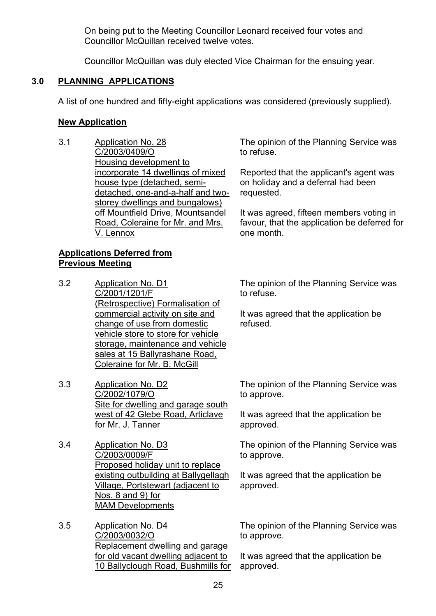On being put to the Meeting Councillor Leonard received four votes and Councillor McQuillan received twelve votes.

Councillor McQuillan was duly elected Vice Chairman for the ensuing year.

# **3.0 PLANNING APPLICATIONS**

A list of one hundred and fifty-eight applications was considered (previously supplied).

# **New Application**

3.1 Application No. 28 C/2003/0409/O Housing development to incorporate 14 dwellings of mixed house type (detached, semidetached, one-and-a-half and twostorey dwellings and bungalows) off Mountfield Drive, Mountsandel Road, Coleraine for Mr. and Mrs. V. Lennox

# **Applications Deferred from Previous Meeting**

- 3.2 Application No. D1 C/2001/1201/F (Retrospective) Formalisation of commercial activity on site and change of use from domestic vehicle store to store for vehicle storage, maintenance and vehicle sales at 15 Ballyrashane Road, Coleraine for Mr. B. McGill
- 3.3 Application No. D2 C/2002/1079/O Site for dwelling and garage south west of 42 Glebe Road, Articlave for Mr. J. Tanner
- 3.4 Application No. D3 C/2003/0009/F Proposed holiday unit to replace existing outbuilding at Ballygellagh Village, Portstewart (adjacent to Nos. 8 and 9) for MAM Developments
- 3.5 Application No. D4 C/2003/0032/O Replacement dwelling and garage for old vacant dwelling adjacent to 10 Ballyclough Road, Bushmills for

The opinion of the Planning Service was to refuse.

Reported that the applicant's agent was on holiday and a deferral had been requested.

It was agreed, fifteen members voting in favour, that the application be deferred for one month.

The opinion of the Planning Service was to refuse.

It was agreed that the application be refused.

The opinion of the Planning Service was to approve.

It was agreed that the application be approved.

The opinion of the Planning Service was to approve.

It was agreed that the application be approved.

The opinion of the Planning Service was to approve.

It was agreed that the application be approved.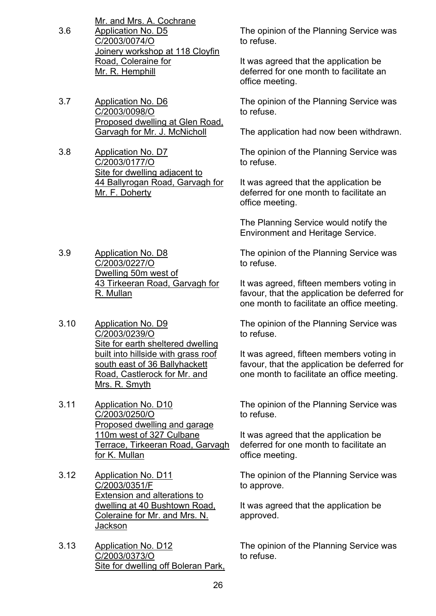- Mr. and Mrs. A. Cochrane 3.6 Application No. D5 C/2003/0074/O Joinery workshop at 118 Cloyfin Road, Coleraine for Mr. R. Hemphill
- 3.7 Application No. D6 C/2003/0098/O Proposed dwelling at Glen Road, Garvagh for Mr. J. McNicholl
- 3.8 Application No. D7 C/2003/0177/O Site for dwelling adjacent to 44 Ballyrogan Road, Garvagh for Mr. F. Doherty
- 3.9 Application No. D8 C/2003/0227/O Dwelling 50m west of 43 Tirkeeran Road, Garvagh for R. Mullan
- 3.10 Application No. D9 C/2003/0239/O Site for earth sheltered dwelling built into hillside with grass roof south east of 36 Ballyhackett Road, Castlerock for Mr. and Mrs. R. Smyth
- 3.11 Application No. D10 C/2003/0250/O Proposed dwelling and garage 110m west of 327 Culbane Terrace, Tirkeeran Road, Garvagh for K. Mullan
- 3.12 Application No. D11 C/2003/0351/F Extension and alterations to dwelling at 40 Bushtown Road, Coleraine for Mr. and Mrs. N. **Jackson**
- 3.13 Application No. D12 C/2003/0373/O Site for dwelling off Boleran Park,

The opinion of the Planning Service was to refuse.

It was agreed that the application be deferred for one month to facilitate an office meeting.

The opinion of the Planning Service was to refuse.

The application had now been withdrawn.

The opinion of the Planning Service was to refuse.

It was agreed that the application be deferred for one month to facilitate an office meeting.

The Planning Service would notify the Environment and Heritage Service.

The opinion of the Planning Service was to refuse.

It was agreed, fifteen members voting in favour, that the application be deferred for one month to facilitate an office meeting.

The opinion of the Planning Service was to refuse.

It was agreed, fifteen members voting in favour, that the application be deferred for one month to facilitate an office meeting.

The opinion of the Planning Service was to refuse.

It was agreed that the application be deferred for one month to facilitate an office meeting.

The opinion of the Planning Service was to approve.

It was agreed that the application be approved.

The opinion of the Planning Service was to refuse.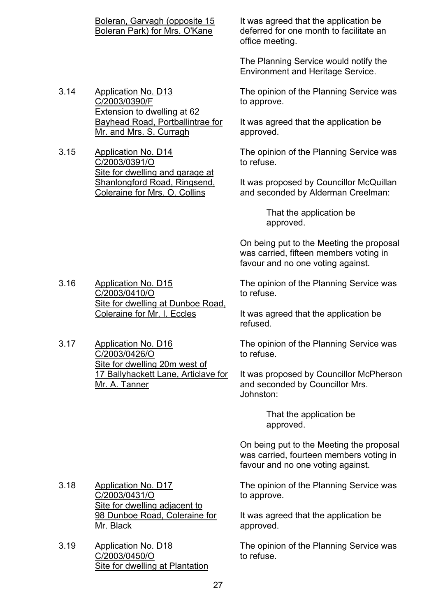3.14 Application No. D13 C/2003/0390/F Extension to dwelling at 62 Bayhead Road, Portballintrae for Mr. and Mrs. S. Curragh

3.15 Application No. D14 C/2003/0391/O Site for dwelling and garage at Shanlongford Road, Ringsend, Coleraine for Mrs. O. Collins

It was agreed that the application be deferred for one month to facilitate an office meeting.

The Planning Service would notify the Environment and Heritage Service.

The opinion of the Planning Service was to approve.

It was agreed that the application be approved.

The opinion of the Planning Service was to refuse.

It was proposed by Councillor McQuillan and seconded by Alderman Creelman:

> That the application be approved.

On being put to the Meeting the proposal was carried, fifteen members voting in favour and no one voting against.

The opinion of the Planning Service was to refuse.

It was agreed that the application be refused.

The opinion of the Planning Service was to refuse.

It was proposed by Councillor McPherson and seconded by Councillor Mrs. Johnston:

> That the application be approved.

On being put to the Meeting the proposal was carried, fourteen members voting in favour and no one voting against.

The opinion of the Planning Service was to approve.

It was agreed that the application be approved.

The opinion of the Planning Service was to refuse.

3.16 Application No. D15 C/2003/0410/O Site for dwelling at Dunboe Road, Coleraine for Mr. I. Eccles

3.17 Application No. D16 C/2003/0426/O Site for dwelling 20m west of 17 Ballyhackett Lane, Articlave for Mr. A. Tanner

3.18 Application No. D17 C/2003/0431/O Site for dwelling adjacent to 98 Dunboe Road, Coleraine for Mr. Black

3.19 Application No. D18 C/2003/0450/O Site for dwelling at Plantation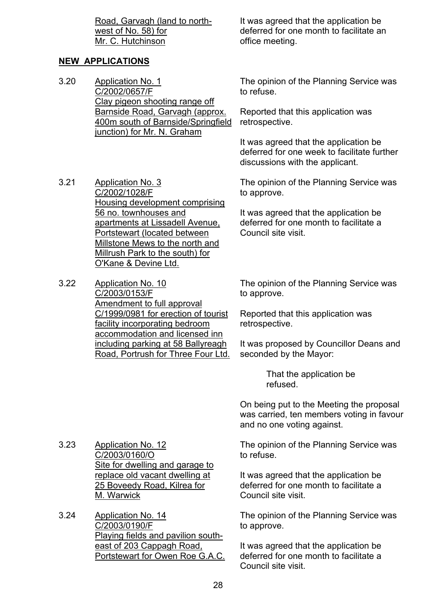# **NEW APPLICATIONS**

- 3.20 Application No. 1 C/2002/0657/F Clay pigeon shooting range off Barnside Road, Garvagh (approx. 400m south of Barnside/Springfield junction) for Mr. N. Graham
- 3.21 Application No. 3 C/2002/1028/F Housing development comprising 56 no. townhouses and apartments at Lissadell Avenue, Portstewart (located between Millstone Mews to the north and Millrush Park to the south) for O'Kane & Devine Ltd.
- 3.22 Application No. 10 C/2003/0153/F Amendment to full approval C/1999/0981 for erection of tourist facility incorporating bedroom accommodation and licensed inn including parking at 58 Ballyreagh Road, Portrush for Three Four Ltd.

It was agreed that the application be deferred for one month to facilitate an office meeting.

The opinion of the Planning Service was to refuse.

Reported that this application was retrospective.

It was agreed that the application be deferred for one week to facilitate further discussions with the applicant.

The opinion of the Planning Service was to approve.

It was agreed that the application be deferred for one month to facilitate a Council site visit.

The opinion of the Planning Service was to approve.

Reported that this application was retrospective.

It was proposed by Councillor Deans and seconded by the Mayor:

> That the application be refused.

On being put to the Meeting the proposal was carried, ten members voting in favour and no one voting against.

3.23 Application No. 12 C/2003/0160/O Site for dwelling and garage to replace old vacant dwelling at 25 Boveedy Road, Kilrea for M. Warwick

3.24 Application No. 14 C/2003/0190/F Playing fields and pavilion southeast of 203 Cappagh Road, Portstewart for Owen Roe G.A.C. The opinion of the Planning Service was to refuse.

It was agreed that the application be deferred for one month to facilitate a Council site visit.

The opinion of the Planning Service was to approve.

It was agreed that the application be deferred for one month to facilitate a Council site visit.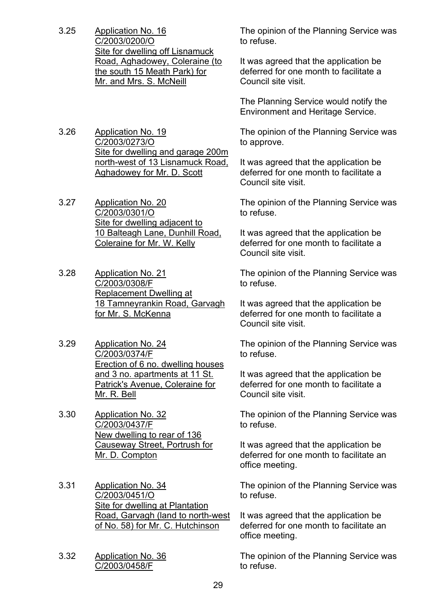- 3.25 Application No. 16 C/2003/0200/O Site for dwelling off Lisnamuck Road, Aghadowey, Coleraine (to the south 15 Meath Park) for Mr. and Mrs. S. McNeill
- 3.26 Application No. 19 C/2003/0273/O Site for dwelling and garage 200m north-west of 13 Lisnamuck Road, Aghadowey for Mr. D. Scott
- 3.27 Application No. 20 C/2003/0301/O Site for dwelling adjacent to 10 Balteagh Lane, Dunhill Road, Coleraine for Mr. W. Kelly
- 3.28 Application No. 21 C/2003/0308/F Replacement Dwelling at 18 Tamneyrankin Road, Garvagh for Mr. S. McKenna
- 3.29 Application No. 24 C/2003/0374/F Erection of 6 no. dwelling houses and 3 no. apartments at 11 St. Patrick's Avenue, Coleraine for Mr. R. Bell
- 3.30 Application No. 32 C/2003/0437/F New dwelling to rear of 136 Causeway Street, Portrush for Mr. D. Compton
- 3.31 Application No. 34 C/2003/0451/O Site for dwelling at Plantation Road, Garvagh (land to north-west of No. 58) for Mr. C. Hutchinson
- 3.32 Application No. 36 C/2003/0458/F

The opinion of the Planning Service was to refuse.

It was agreed that the application be deferred for one month to facilitate a Council site visit.

The Planning Service would notify the Environment and Heritage Service.

The opinion of the Planning Service was to approve.

It was agreed that the application be deferred for one month to facilitate a Council site visit.

The opinion of the Planning Service was to refuse.

It was agreed that the application be deferred for one month to facilitate a Council site visit.

The opinion of the Planning Service was to refuse.

It was agreed that the application be deferred for one month to facilitate a Council site visit.

The opinion of the Planning Service was to refuse.

It was agreed that the application be deferred for one month to facilitate a Council site visit.

The opinion of the Planning Service was to refuse.

It was agreed that the application be deferred for one month to facilitate an office meeting.

The opinion of the Planning Service was to refuse.

It was agreed that the application be deferred for one month to facilitate an office meeting.

The opinion of the Planning Service was to refuse.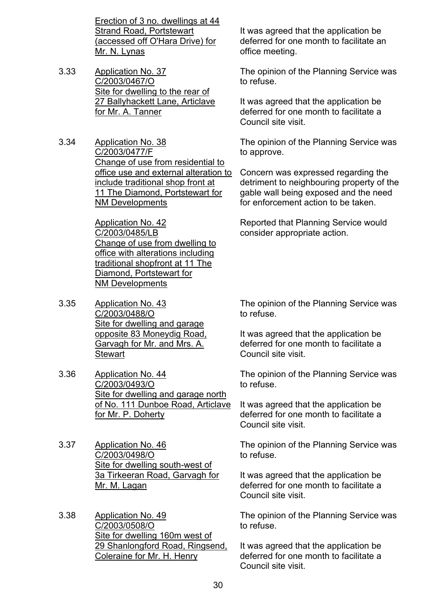Erection of 3 no. dwellings at 44 Strand Road, Portstewart (accessed off O'Hara Drive) for Mr. N. Lynas

- 3.33 Application No. 37 C/2003/0467/O Site for dwelling to the rear of 27 Ballyhackett Lane, Articlave for Mr. A. Tanner
- 3.34 Application No. 38 C/2003/0477/F Change of use from residential to office use and external alteration to include traditional shop front at 11 The Diamond, Portstewart for NM Developments

Application No. 42 C/2003/0485/LB Change of use from dwelling to office with alterations including traditional shopfront at 11 The Diamond, Portstewart for NM Developments

- 3.35 Application No. 43 C/2003/0488/O Site for dwelling and garage opposite 83 Moneydig Road, Garvagh for Mr. and Mrs. A. **Stewart**
- 3.36 Application No. 44 C/2003/0493/O Site for dwelling and garage north of No. 111 Dunboe Road, Articlave for Mr. P. Doherty
- 3.37 Application No. 46 C/2003/0498/O Site for dwelling south-west of 3a Tirkeeran Road, Garvagh for Mr. M. Lagan
- 3.38 Application No. 49 C/2003/0508/O Site for dwelling 160m west of 29 Shanlongford Road, Ringsend, Coleraine for Mr. H. Henry

It was agreed that the application be deferred for one month to facilitate an office meeting.

The opinion of the Planning Service was to refuse.

It was agreed that the application be deferred for one month to facilitate a Council site visit.

The opinion of the Planning Service was to approve.

Concern was expressed regarding the detriment to neighbouring property of the gable wall being exposed and the need for enforcement action to be taken.

Reported that Planning Service would consider appropriate action.

The opinion of the Planning Service was to refuse.

It was agreed that the application be deferred for one month to facilitate a Council site visit.

The opinion of the Planning Service was to refuse.

It was agreed that the application be deferred for one month to facilitate a Council site visit.

The opinion of the Planning Service was to refuse.

It was agreed that the application be deferred for one month to facilitate a Council site visit.

The opinion of the Planning Service was to refuse.

It was agreed that the application be deferred for one month to facilitate a Council site visit.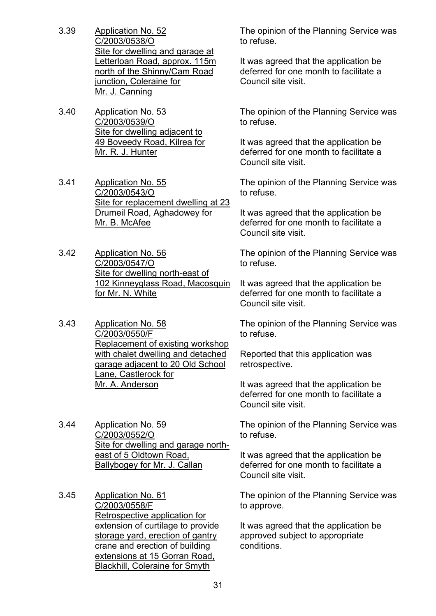- 3.39 Application No. 52 C/2003/0538/O Site for dwelling and garage at Letterloan Road, approx. 115m north of the Shinny/Cam Road junction, Coleraine for Mr. J. Canning
- 3.40 Application No. 53 C/2003/0539/O Site for dwelling adjacent to 49 Boveedy Road, Kilrea for Mr. R. J. Hunter
- 3.41 Application No. 55 C/2003/0543/O Site for replacement dwelling at 23 Drumeil Road, Aghadowey for Mr. B. McAfee
- 3.42 Application No. 56 C/2003/0547/O Site for dwelling north-east of 102 Kinneyglass Road, Macosquin for Mr. N. White
- 3.43 Application No. 58 C/2003/0550/F Replacement of existing workshop with chalet dwelling and detached garage adjacent to 20 Old School Lane, Castlerock for Mr. A. Anderson
- 3.44 Application No. 59 C/2003/0552/O Site for dwelling and garage northeast of 5 Oldtown Road, Ballybogey for Mr. J. Callan
- 3.45 Application No. 61 C/2003/0558/F Retrospective application for extension of curtilage to provide storage yard, erection of gantry crane and erection of building extensions at 15 Gorran Road, Blackhill, Coleraine for Smyth

The opinion of the Planning Service was to refuse.

It was agreed that the application be deferred for one month to facilitate a Council site visit.

The opinion of the Planning Service was to refuse.

It was agreed that the application be deferred for one month to facilitate a Council site visit.

The opinion of the Planning Service was to refuse.

It was agreed that the application be deferred for one month to facilitate a Council site visit.

The opinion of the Planning Service was to refuse.

It was agreed that the application be deferred for one month to facilitate a Council site visit.

The opinion of the Planning Service was to refuse.

Reported that this application was retrospective.

It was agreed that the application be deferred for one month to facilitate a Council site visit.

The opinion of the Planning Service was to refuse.

It was agreed that the application be deferred for one month to facilitate a Council site visit.

The opinion of the Planning Service was to approve.

It was agreed that the application be approved subject to appropriate conditions.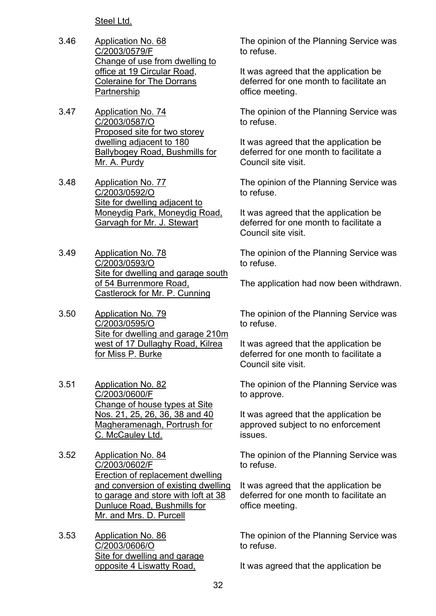Steel Ltd.

- 3.46 Application No. 68 C/2003/0579/F Change of use from dwelling to office at 19 Circular Road, Coleraine for The Dorrans Partnership
- 3.47 Application No. 74 C/2003/0587/O Proposed site for two storey dwelling adjacent to 180 Ballybogey Road, Bushmills for Mr. A. Purdy
- 3.48 Application No. 77 C/2003/0592/O Site for dwelling adjacent to Moneydig Park, Moneydig Road, Garvagh for Mr. J. Stewart
- 3.49 Application No. 78 C/2003/0593/O Site for dwelling and garage south of 54 Burrenmore Road, Castlerock for Mr. P. Cunning
- 3.50 Application No. 79 C/2003/0595/O Site for dwelling and garage 210m west of 17 Dullaghy Road, Kilrea for Miss P. Burke
- 3.51 Application No. 82 C/2003/0600/F Change of house types at Site Nos. 21, 25, 26, 36, 38 and 40 Magheramenagh, Portrush for C. McCauley Ltd.
- 3.52 Application No. 84 C/2003/0602/F Erection of replacement dwelling and conversion of existing dwelling to garage and store with loft at 38 Dunluce Road, Bushmills for Mr. and Mrs. D. Purcell
- 3.53 Application No. 86 C/2003/0606/O Site for dwelling and garage opposite 4 Liswatty Road,

The opinion of the Planning Service was to refuse.

It was agreed that the application be deferred for one month to facilitate an office meeting.

The opinion of the Planning Service was to refuse.

It was agreed that the application be deferred for one month to facilitate a Council site visit.

The opinion of the Planning Service was to refuse.

It was agreed that the application be deferred for one month to facilitate a Council site visit.

The opinion of the Planning Service was to refuse.

The application had now been withdrawn.

The opinion of the Planning Service was to refuse.

It was agreed that the application be deferred for one month to facilitate a Council site visit.

The opinion of the Planning Service was to approve.

It was agreed that the application be approved subject to no enforcement issues.

The opinion of the Planning Service was to refuse.

It was agreed that the application be deferred for one month to facilitate an office meeting.

The opinion of the Planning Service was to refuse.

It was agreed that the application be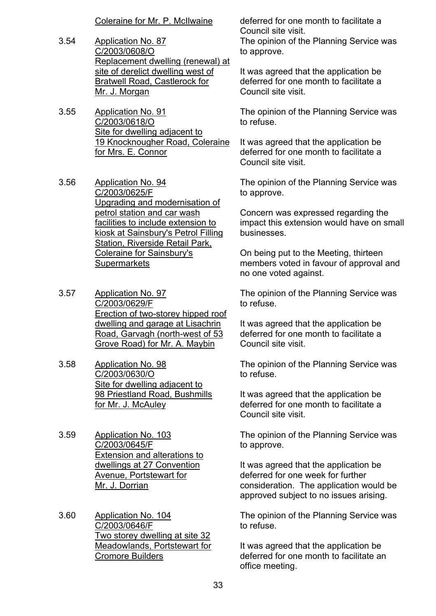- 3.54 Application No. 87 C/2003/0608/O Replacement dwelling (renewal) at site of derelict dwelling west of Bratwell Road, Castlerock for Mr. J. Morgan
- 3.55 Application No. 91 C/2003/0618/O Site for dwelling adjacent to 19 Knocknougher Road, Coleraine for Mrs. E. Connor
- 3.56 Application No. 94 C/2003/0625/F Upgrading and modernisation of petrol station and car wash facilities to include extension to kiosk at Sainsbury's Petrol Filling Station, Riverside Retail Park, Coleraine for Sainsbury's **Supermarkets**
- 3.57 Application No. 97 C/2003/0629/F Erection of two-storey hipped roof dwelling and garage at Lisachrin Road, Garvagh (north-west of 53 Grove Road) for Mr. A. Maybin
- 3.58 Application No. 98 C/2003/0630/O Site for dwelling adjacent to 98 Priestland Road, Bushmills for Mr. J. McAuley
- 3.59 Application No. 103 C/2003/0645/F Extension and alterations to dwellings at 27 Convention Avenue, Portstewart for Mr. J. Dorrian
- 3.60 Application No. 104 C/2003/0646/F Two storey dwelling at site 32 Meadowlands, Portstewart for Cromore Builders

Coleraine for Mr. P. McIlwaine deferred for one month to facilitate a Council site visit.

The opinion of the Planning Service was to approve.

It was agreed that the application be deferred for one month to facilitate a Council site visit.

The opinion of the Planning Service was to refuse.

It was agreed that the application be deferred for one month to facilitate a Council site visit.

The opinion of the Planning Service was to approve.

Concern was expressed regarding the impact this extension would have on small businesses.

On being put to the Meeting, thirteen members voted in favour of approval and no one voted against.

The opinion of the Planning Service was to refuse.

It was agreed that the application be deferred for one month to facilitate a Council site visit.

The opinion of the Planning Service was to refuse.

It was agreed that the application be deferred for one month to facilitate a Council site visit.

The opinion of the Planning Service was to approve.

It was agreed that the application be deferred for one week for further consideration. The application would be approved subject to no issues arising.

The opinion of the Planning Service was to refuse.

It was agreed that the application be deferred for one month to facilitate an office meeting.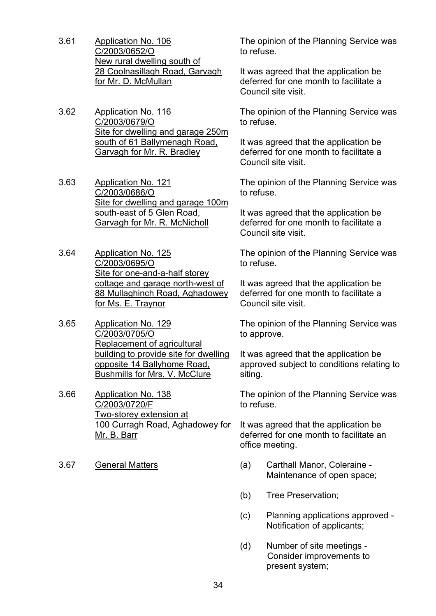- 3.61 Application No. 106 C/2003/0652/O New rural dwelling south of 28 Coolnasillagh Road, Garvagh for Mr. D. McMullan
- 3.62 Application No. 116 C/2003/0679/O Site for dwelling and garage 250m south of 61 Ballymenagh Road, Garvagh for Mr. R. Bradley
- 3.63 Application No. 121 C/2003/0686/O Site for dwelling and garage 100m south-east of 5 Glen Road, Garvagh for Mr. R. McNicholl
- 3.64 Application No. 125 C/2003/0695/O Site for one-and-a-half storey cottage and garage north-west of 88 Mullaghinch Road, Aghadowey for Ms. E. Traynor
- 3.65 Application No. 129 C/2003/0705/O Replacement of agricultural building to provide site for dwelling opposite 14 Ballyhome Road, Bushmills for Mrs. V. McClure
- 3.66 Application No. 138 C/2003/0720/F Two-storey extension at 100 Curragh Road, Aghadowey for Mr. B. Barr
- 

The opinion of the Planning Service was to refuse.

It was agreed that the application be deferred for one month to facilitate a Council site visit.

The opinion of the Planning Service was to refuse.

It was agreed that the application be deferred for one month to facilitate a Council site visit.

The opinion of the Planning Service was to refuse.

It was agreed that the application be deferred for one month to facilitate a Council site visit.

The opinion of the Planning Service was to refuse.

It was agreed that the application be deferred for one month to facilitate a Council site visit.

The opinion of the Planning Service was to approve.

It was agreed that the application be approved subject to conditions relating to siting.

The opinion of the Planning Service was to refuse.

It was agreed that the application be deferred for one month to facilitate an office meeting.

- 3.67 General Matters (a) Carthall Manor, Coleraine Maintenance of open space;
	- (b) Tree Preservation;
	- (c) Planning applications approved Notification of applicants;
	- (d) Number of site meetings Consider improvements to present system;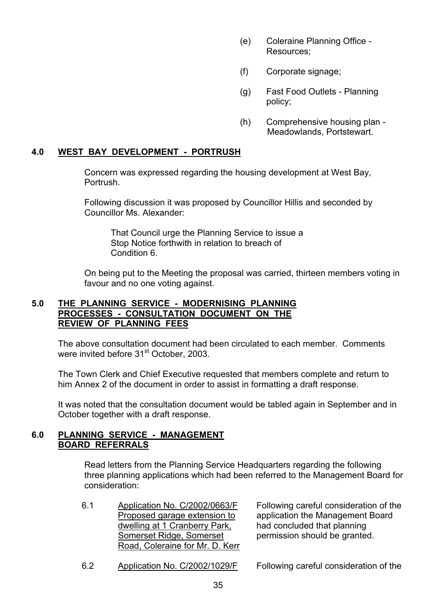- (e) Coleraine Planning Office Resources;
- (f) Corporate signage;
- (g) Fast Food Outlets Planning policy;
- (h) Comprehensive housing plan Meadowlands, Portstewart.

#### **4.0 WEST BAY DEVELOPMENT - PORTRUSH**

Concern was expressed regarding the housing development at West Bay, Portrush.

Following discussion it was proposed by Councillor Hillis and seconded by Councillor Ms. Alexander:

 That Council urge the Planning Service to issue a Stop Notice forthwith in relation to breach of Condition 6.

On being put to the Meeting the proposal was carried, thirteen members voting in favour and no one voting against.

# **5.0 THE PLANNING SERVICE - MODERNISING PLANNING PROCESSES - CONSULTATION DOCUMENT ON THE REVIEW OF PLANNING FEES**

 The above consultation document had been circulated to each member. Comments were invited before 31<sup>st</sup> October, 2003.

 The Town Clerk and Chief Executive requested that members complete and return to him Annex 2 of the document in order to assist in formatting a draft response.

 It was noted that the consultation document would be tabled again in September and in October together with a draft response.

#### **6.0 PLANNING SERVICE - MANAGEMENT BOARD REFERRALS**

 Read letters from the Planning Service Headquarters regarding the following three planning applications which had been referred to the Management Board for consideration:

6.1 Application No. C/2002/0663/F Proposed garage extension to dwelling at 1 Cranberry Park, Somerset Ridge, Somerset Road, Coleraine for Mr. D. Kerr

Following careful consideration of the application the Management Board had concluded that planning permission should be granted.

6.2 Application No. C/2002/1029/F Following careful consideration of the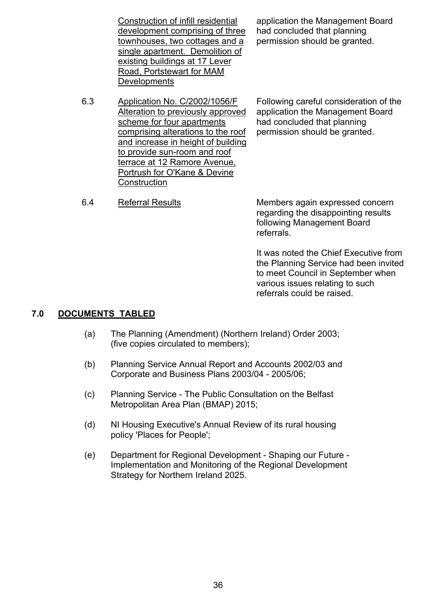Construction of infill residential development comprising of three townhouses, two cottages and a single apartment. Demolition of existing buildings at 17 Lever Road, Portstewart for MAM **Developments** 

application the Management Board had concluded that planning permission should be granted.

6.3 Application No. C/2002/1056/F Alteration to previously approved scheme for four apartments comprising alterations to the roof and increase in height of building to provide sun-room and roof terrace at 12 Ramore Avenue, Portrush for O'Kane & Devine **Construction** 

Following careful consideration of the application the Management Board had concluded that planning permission should be granted.

6.4 Referral Results Members again expressed concern regarding the disappointing results following Management Board referrals.

> It was noted the Chief Executive from the Planning Service had been invited to meet Council in September when various issues relating to such referrals could be raised.

# **7.0 DOCUMENTS TABLED**

- (a) The Planning (Amendment) (Northern Ireland) Order 2003; (five copies circulated to members);
- (b) Planning Service Annual Report and Accounts 2002/03 and Corporate and Business Plans 2003/04 - 2005/06;
- (c) Planning Service The Public Consultation on the Belfast Metropolitan Area Plan (BMAP) 2015;
- (d) NI Housing Executive's Annual Review of its rural housing policy 'Places for People';
- (e) Department for Regional Development Shaping our Future Implementation and Monitoring of the Regional Development Strategy for Northern Ireland 2025.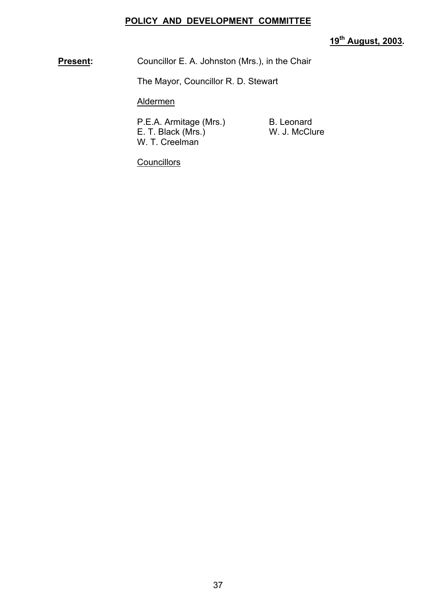# **POLICY AND DEVELOPMENT COMMITTEE**

**19th August, 2003.** 

**Present:** Councillor E. A. Johnston (Mrs.), in the Chair

The Mayor, Councillor R. D. Stewart

Aldermen

P.E.A. Armitage (Mrs.) B. Leonard E. T. Black (Mrs.) W. J. McClure W. T. Creelman

**Councillors**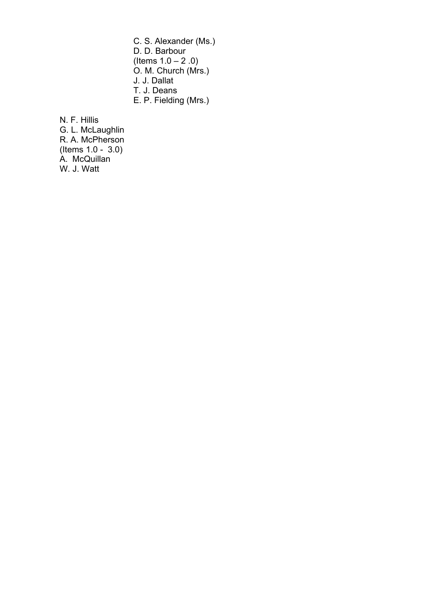C. S. Alexander (Ms.) D. D. Barbour (Items  $1.0 - 2.0$ ) O. M. Church (Mrs.) J. J. Dallat T. J. Deans E. P. Fielding (Mrs.)

 N. F. Hillis G. L. McLaughlin R. A. McPherson (Items 1.0 - 3.0) A. McQuillan W. J. Watt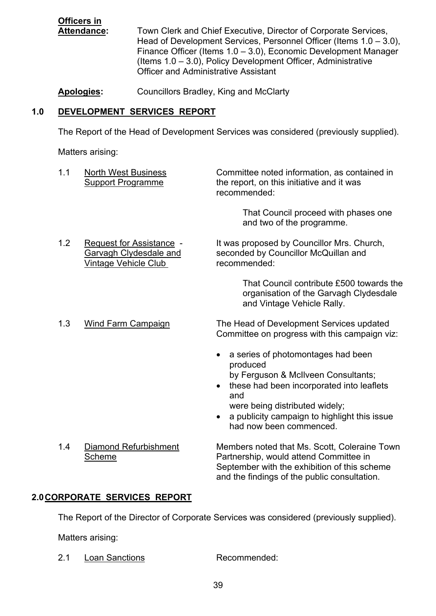**Officers in**

 **Attendance:** Town Clerk and Chief Executive, Director of Corporate Services, Head of Development Services, Personnel Officer (Items  $1.0 - 3.0$ ), Finance Officer (Items  $1.0 - 3.0$ ), Economic Development Manager (Items  $1.0 - 3.0$ ), Policy Development Officer, Administrative Officer and Administrative Assistant

**Apologies:** Councillors Bradley, King and McClarty

# **1.0 DEVELOPMENT SERVICES REPORT**

The Report of the Head of Development Services was considered (previously supplied).

Matters arising:

| 1.1                           | <b>North West Business</b><br><b>Support Programme</b>                                   | Committee noted information, as contained in<br>the report, on this initiative and it was<br>recommended:                                                                                                                                              |  |  |
|-------------------------------|------------------------------------------------------------------------------------------|--------------------------------------------------------------------------------------------------------------------------------------------------------------------------------------------------------------------------------------------------------|--|--|
|                               |                                                                                          | That Council proceed with phases one<br>and two of the programme.                                                                                                                                                                                      |  |  |
| 1.2                           | Request for Assistance -<br><b>Garvagh Clydesdale and</b><br><b>Vintage Vehicle Club</b> | It was proposed by Councillor Mrs. Church,<br>seconded by Councillor McQuillan and<br>recommended:                                                                                                                                                     |  |  |
|                               |                                                                                          | That Council contribute £500 towards the<br>organisation of the Garvagh Clydesdale<br>and Vintage Vehicle Rally.                                                                                                                                       |  |  |
| 1.3                           | <b>Wind Farm Campaign</b>                                                                | The Head of Development Services updated<br>Committee on progress with this campaign viz:                                                                                                                                                              |  |  |
|                               |                                                                                          | a series of photomontages had been<br>produced<br>by Ferguson & McIlveen Consultants;<br>these had been incorporated into leaflets<br>and<br>were being distributed widely;<br>a publicity campaign to highlight this issue<br>had now been commenced. |  |  |
| 1.4                           | Diamond Refurbishment<br>Scheme                                                          | Members noted that Ms. Scott, Coleraine Town<br>Partnership, would attend Committee in<br>September with the exhibition of this scheme<br>and the findings of the public consultation.                                                                 |  |  |
| 2.0 CORPORATE SERVICES REPORT |                                                                                          |                                                                                                                                                                                                                                                        |  |  |
|                               | The Denout of the Diseater of Ocanonate Ocanises were considered from involvementally    |                                                                                                                                                                                                                                                        |  |  |

The Report of the Director of Corporate Services was considered (previously supplied).

Matters arising:

2.1 Loan Sanctions Recommended: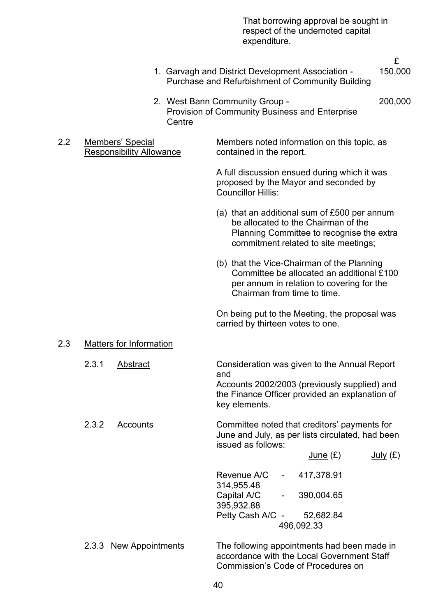That borrowing approval be sought in respect of the undernoted capital expenditure.

£

1. Garvagh and District Development Association - 150,000 Purchase and Refurbishment of Community Building

- 2. West Bann Community Group 200,000 Provision of Community Business and Enterprise **Centre**
- 2.2 Membersí Special Members noted information on this topic, as Responsibility Allowance contained in the report.

 A full discussion ensued during which it was proposed by the Mayor and seconded by Councillor Hillis:

- (a) that an additional sum of £500 per annum be allocated to the Chairman of the Planning Committee to recognise the extra commitment related to site meetings;
- (b) that the Vice-Chairman of the Planning Committee be allocated an additional £100 per annum in relation to covering for the Chairman from time to time.

On being put to the Meeting, the proposal was carried by thirteen votes to one.

Commission's Code of Procedures on

#### 2.3 Matters for Information

| 2.3.1 | Abstract                | Consideration was given to the Annual Report<br>and<br>Accounts 2002/2003 (previously supplied) and<br>the Finance Officer provided an explanation of<br>key elements.          |          |
|-------|-------------------------|---------------------------------------------------------------------------------------------------------------------------------------------------------------------------------|----------|
| 2.3.2 | Accounts                | Committee noted that creditors' payments for<br>June and July, as per lists circulated, had been<br>issued as follows:<br>June (E)                                              | July (E) |
|       |                         | Revenue A/C<br>417,378.91<br>$\blacksquare$<br>314,955.48<br>390,004.65<br>Capital A/C<br>$\overline{\phantom{a}}$<br>395,932.88<br>Petty Cash A/C -<br>52,682.84<br>496,092.33 |          |
| 2.3.3 | <b>New Appointments</b> | The following appointments had been made in<br>accordance with the Local Government Staff                                                                                       |          |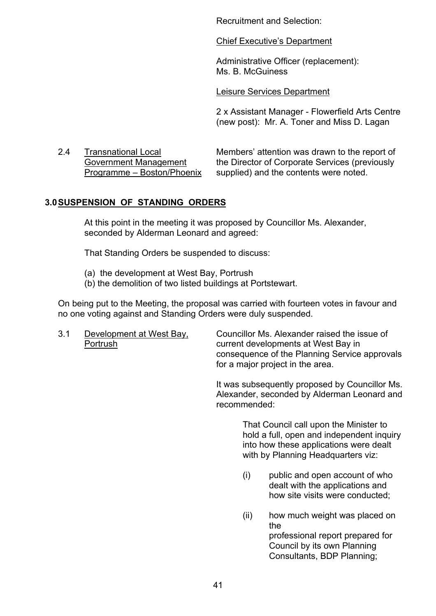Recruitment and Selection:

Chief Executive's Department

Administrative Officer (replacement): Ms. B. McGuiness

Leisure Services Department

 2 x Assistant Manager - Flowerfield Arts Centre (new post): Mr. A. Toner and Miss D. Lagan

2.4 Transnational Local Membersí attention was drawn to the report of Government Management the Director of Corporate Services (previously Programme – Boston/Phoenix supplied) and the contents were noted.

# **3.0 SUSPENSION OF STANDING ORDERS**

At this point in the meeting it was proposed by Councillor Ms. Alexander, seconded by Alderman Leonard and agreed:

That Standing Orders be suspended to discuss:

- (a) the development at West Bay, Portrush
- (b) the demolition of two listed buildings at Portstewart.

On being put to the Meeting, the proposal was carried with fourteen votes in favour and no one voting against and Standing Orders were duly suspended.

3.1 Development at West Bay, Councillor Ms. Alexander raised the issue of Portrush current developments at West Bay in consequence of the Planning Service approvals for a major project in the area.

> It was subsequently proposed by Councillor Ms. Alexander, seconded by Alderman Leonard and recommended:

> > That Council call upon the Minister to hold a full, open and independent inquiry into how these applications were dealt with by Planning Headquarters viz:

- (i) public and open account of who dealt with the applications and how site visits were conducted;
- (ii) how much weight was placed on the professional report prepared for Council by its own Planning Consultants, BDP Planning;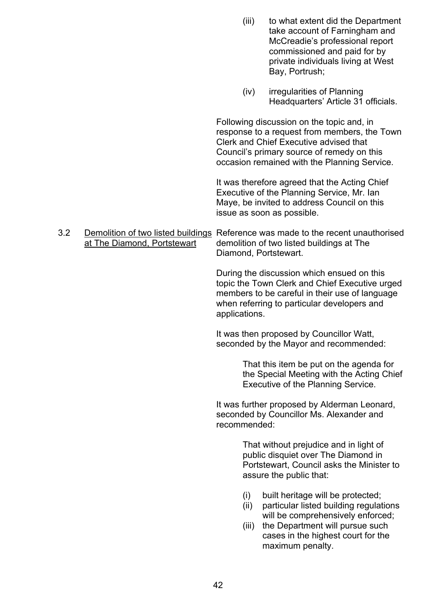|     |                             |               | (iii)                                                                                                    | to what extent did the Department<br>take account of Farningham and<br>McCreadie's professional report<br>commissioned and paid for by<br>private individuals living at West<br>Bay, Portrush;                                    |  |
|-----|-----------------------------|---------------|----------------------------------------------------------------------------------------------------------|-----------------------------------------------------------------------------------------------------------------------------------------------------------------------------------------------------------------------------------|--|
|     |                             |               | (iv)                                                                                                     | irregularities of Planning<br>Headquarters' Article 31 officials.                                                                                                                                                                 |  |
|     |                             |               |                                                                                                          | Following discussion on the topic and, in<br>response to a request from members, the Town<br>Clerk and Chief Executive advised that<br>Council's primary source of remedy on this<br>occasion remained with the Planning Service. |  |
|     |                             |               |                                                                                                          | It was therefore agreed that the Acting Chief<br>Executive of the Planning Service, Mr. Ian<br>Maye, be invited to address Council on this<br>issue as soon as possible.                                                          |  |
| 3.2 | at The Diamond, Portstewart |               |                                                                                                          | Demolition of two listed buildings Reference was made to the recent unauthorised<br>demolition of two listed buildings at The<br>Diamond, Portstewart.                                                                            |  |
|     |                             | applications. |                                                                                                          | During the discussion which ensued on this<br>topic the Town Clerk and Chief Executive urged<br>members to be careful in their use of language<br>when referring to particular developers and                                     |  |
|     |                             |               |                                                                                                          | It was then proposed by Councillor Watt,<br>seconded by the Mayor and recommended:                                                                                                                                                |  |
|     |                             |               |                                                                                                          | That this item be put on the agenda for<br>the Special Meeting with the Acting Chief<br>Executive of the Planning Service.                                                                                                        |  |
|     |                             |               | It was further proposed by Alderman Leonard,<br>seconded by Councillor Ms. Alexander and<br>recommended: |                                                                                                                                                                                                                                   |  |
|     |                             |               |                                                                                                          | That without prejudice and in light of<br>public disquiet over The Diamond in<br>Portstewart, Council asks the Minister to<br>assure the public that:                                                                             |  |
|     |                             |               | (i)<br>(ii)<br>(iii)                                                                                     | built heritage will be protected;<br>particular listed building regulations<br>will be comprehensively enforced;<br>the Department will pursue such<br>cases in the highest court for the<br>maximum penalty.                     |  |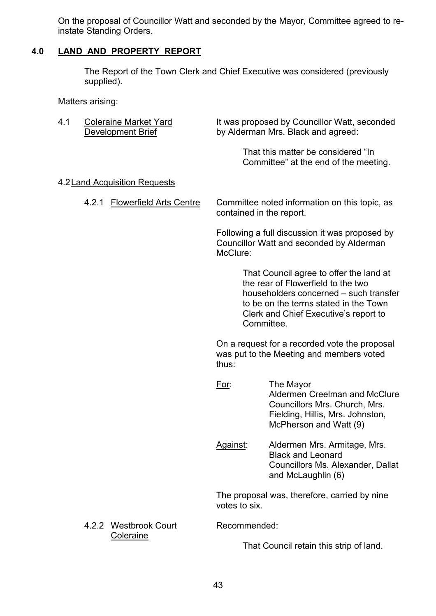On the proposal of Councillor Watt and seconded by the Mayor, Committee agreed to reinstate Standing Orders.

# **4.0 LAND AND PROPERTY REPORT**

The Report of the Town Clerk and Chief Executive was considered (previously supplied).

Matters arising:

4.1 Coleraine Market Yard It was proposed by Councillor Watt, seconded Development Brief by Alderman Mrs. Black and agreed:

> That this matter be considered "In Committee" at the end of the meeting.

# 4.2 Land Acquisition Requests

4.2.1 Flowerfield Arts Centre Committee noted information on this topic, as contained in the report.

> Following a full discussion it was proposed by Councillor Watt and seconded by Alderman McClure:

> > That Council agree to offer the land at the rear of Flowerfield to the two householders concerned  $=$  such transfer to be on the terms stated in the Town Clerk and Chief Executive's report to Committee.

On a request for a recorded vote the proposal was put to the Meeting and members voted thus:

- For: The Mayor Aldermen Creelman and McClure Councillors Mrs. Church, Mrs. Fielding, Hillis, Mrs. Johnston, McPherson and Watt (9)
- Against: Aldermen Mrs. Armitage, Mrs. Black and Leonard Councillors Ms. Alexander, Dallat and McLaughlin (6)

The proposal was, therefore, carried by nine votes to six.

That Council retain this strip of land.

4.2.2 Westbrook Court Recommended: Coleraine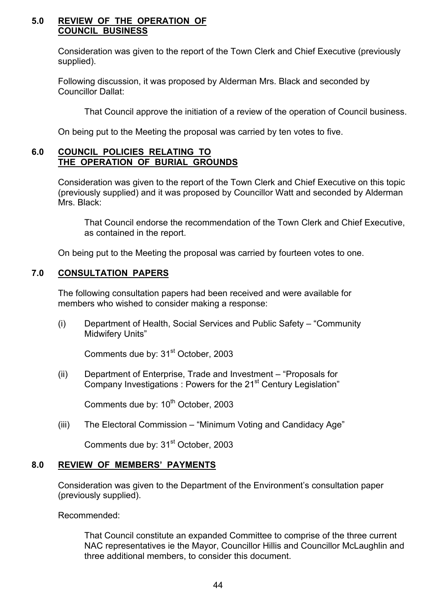#### **5.0 REVIEW OF THE OPERATION OF COUNCIL BUSINESS**

Consideration was given to the report of the Town Clerk and Chief Executive (previously supplied).

Following discussion, it was proposed by Alderman Mrs. Black and seconded by Councillor Dallat:

That Council approve the initiation of a review of the operation of Council business.

On being put to the Meeting the proposal was carried by ten votes to five.

#### **6.0 COUNCIL POLICIES RELATING TO THE OPERATION OF BURIAL GROUNDS**

Consideration was given to the report of the Town Clerk and Chief Executive on this topic (previously supplied) and it was proposed by Councillor Watt and seconded by Alderman Mrs. Black:

 That Council endorse the recommendation of the Town Clerk and Chief Executive, as contained in the report.

On being put to the Meeting the proposal was carried by fourteen votes to one.

# **7.0 CONSULTATION PAPERS**

The following consultation papers had been received and were available for members who wished to consider making a response:

(i) Department of Health, Social Services and Public Safety – "Community" Midwifery Units"

Comments due by: 31<sup>st</sup> October, 2003

(ii) Department of Enterprise, Trade and Investment – "Proposals for Company Investigations : Powers for the 21<sup>st</sup> Century Legislation<sup>"</sup>

Comments due by: 10<sup>th</sup> October, 2003

(iii) The Electoral Commission  $-$  "Minimum Voting and Candidacy Age"

Comments due by: 31<sup>st</sup> October, 2003

# **8.0 REVIEW OF MEMBERSí PAYMENTS**

Consideration was given to the Department of the Environment's consultation paper (previously supplied).

Recommended:

 That Council constitute an expanded Committee to comprise of the three current NAC representatives ie the Mayor, Councillor Hillis and Councillor McLaughlin and three additional members, to consider this document.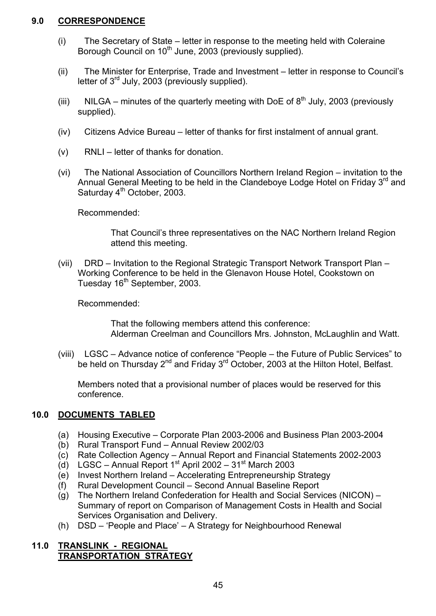# **9.0 CORRESPONDENCE**

- $(i)$  The Secretary of State letter in response to the meeting held with Coleraine Borough Council on 10<sup>th</sup> June, 2003 (previously supplied).
- (ii) The Minister for Enterprise, Trade and Investment letter in response to Council's letter of  $3<sup>rd</sup>$  July, 2003 (previously supplied).
- (iii) NILGA minutes of the quarterly meeting with DoE of  $8<sup>th</sup>$  July, 2003 (previously supplied).
- $(iv)$  Citizens Advice Bureau letter of thanks for first instalment of annual grant.
- $(v)$  RNLI letter of thanks for donation.
- (vi) The National Association of Councillors Northern Ireland Region invitation to the Annual General Meeting to be held in the Clandeboye Lodge Hotel on Friday 3<sup>rd</sup> and Saturday 4<sup>th</sup> October, 2003.

Recommended:

That Council's three representatives on the NAC Northern Ireland Region attend this meeting.

(vii) DRD – Invitation to the Regional Strategic Transport Network Transport Plan – Working Conference to be held in the Glenavon House Hotel, Cookstown on Tuesday 16<sup>th</sup> September, 2003.

Recommended:

 That the following members attend this conference: Alderman Creelman and Councillors Mrs. Johnston, McLaughlin and Watt.

(viii)  $LGSC - Advance notice of conference "People – the Future of Public Services" to$ be held on Thursday 2<sup>nd</sup> and Friday 3<sup>rd</sup> October, 2003 at the Hilton Hotel, Belfast.

Members noted that a provisional number of places would be reserved for this conference.

# **10.0 DOCUMENTS TABLED**

- (a) Housing Executive Corporate Plan 2003-2006 and Business Plan 2003-2004
- (b) Rural Transport Fund  $-$  Annual Review 2002/03
- (c) Rate Collection Agency Annual Report and Financial Statements 2002-2003
- (d) LGSC Annual Report 1<sup>st</sup> April 2002 31<sup>st</sup> March 2003
- (e) Invest Northern Ireland Accelerating Entrepreneurship Strategy
- (f) Rural Development Council Second Annual Baseline Report
- (g) The Northern Ireland Confederation for Health and Social Services (NICON)  $-$ Summary of report on Comparison of Management Costs in Health and Social Services Organisation and Delivery.
- (h)  $DSD 'People$  and Place'  $-$  A Strategy for Neighbourhood Renewal

# **11.0 TRANSLINK - REGIONAL TRANSPORTATION STRATEGY**